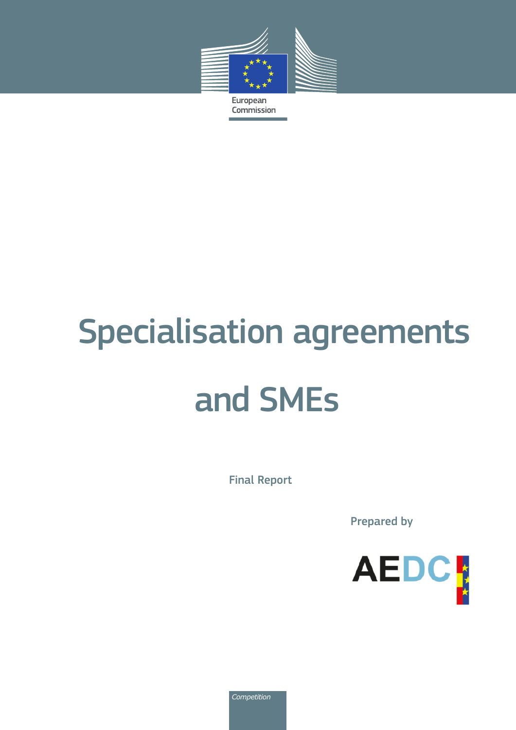

European Commission

# Specialisation agreements and SMEs

Final Report

Prepared by



*Competition*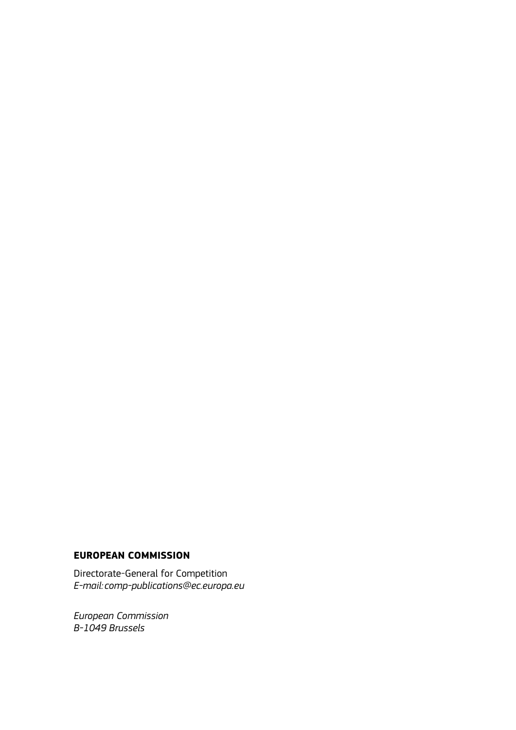#### **EUROPEAN COMMISSION**

Directorate-General for Competition *E-mail:comp-publications@ec.europa.eu*

*European Commission B-1049 Brussels*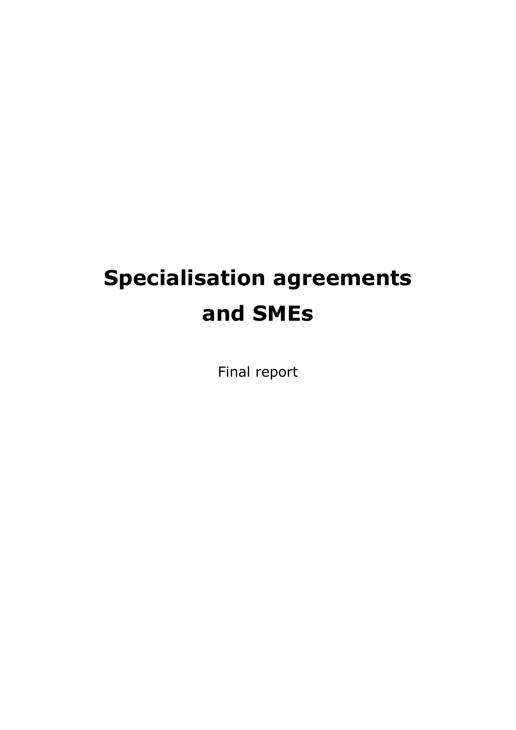# **Specialisation agreements and SMEs**

Final report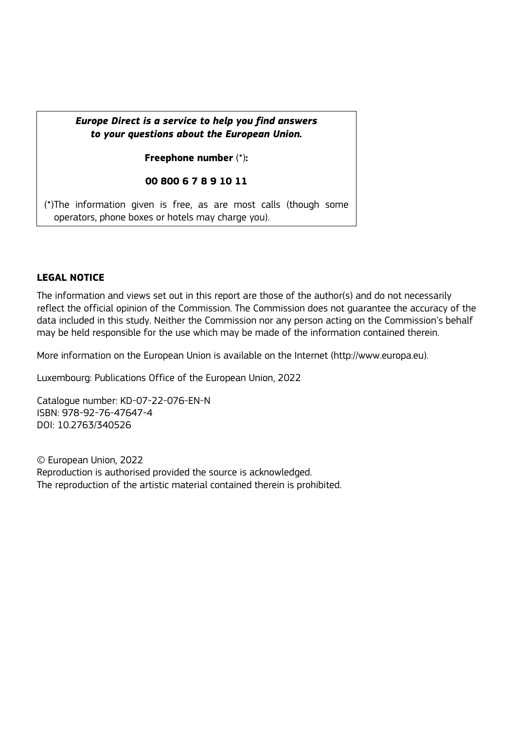#### *Europe Direct is a service to help you find answers to your questions about the European Union.*

**Freephone number** (\*)**:**

#### **00 800 6 7 8 9 10 11**

[\(\\*\)T](http://europa.eu.int/citizensrights/signpost/about/index_en.htm#note1#note1)he information given is free, as are most calls (though some operators, phone boxes or hotels may charge you).

#### **LEGAL NOTICE**

The information and views set out in this report are those of the author(s) and do not necessarily reflect the official opinion of the Commission. The Commission does not guarantee the accuracy of the data included in this study. Neither the Commission nor any person acting on the Commission's behalf may be held responsible for the use which may be made of the information contained therein.

More information on the European Union is available on the Internet (http://www.europa.eu).

Luxembourg: Publications Office of the European Union, 2022

Catalogue number: KD-07-22-076-EN-N ISBN: 978-92-76-47647-4 DOI: 10.2763/340526

© European Union, 2022 Reproduction is authorised provided the source is acknowledged. The reproduction of the artistic material contained therein is prohibited.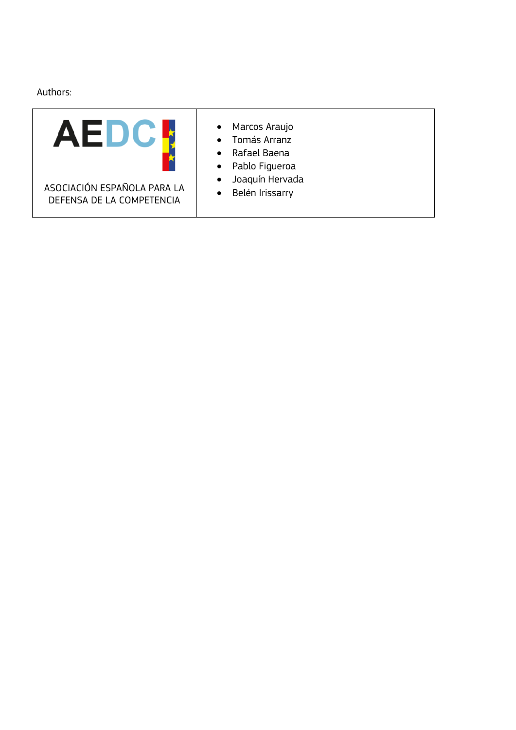Authors:

| AEL                                                      | Marcos Araujo<br>$\bullet$<br>Tomás Arranz<br>$\bullet$<br>Rafael Baena<br>$\bullet$<br>Pablo Figueroa<br>$\bullet$ |
|----------------------------------------------------------|---------------------------------------------------------------------------------------------------------------------|
| ASOCIACIÓN ESPAÑOLA PARA LA<br>DEFENSA DE LA COMPETENCIA | Joaquín Hervada<br>$\bullet$<br>Belén Irissarry<br>$\bullet$                                                        |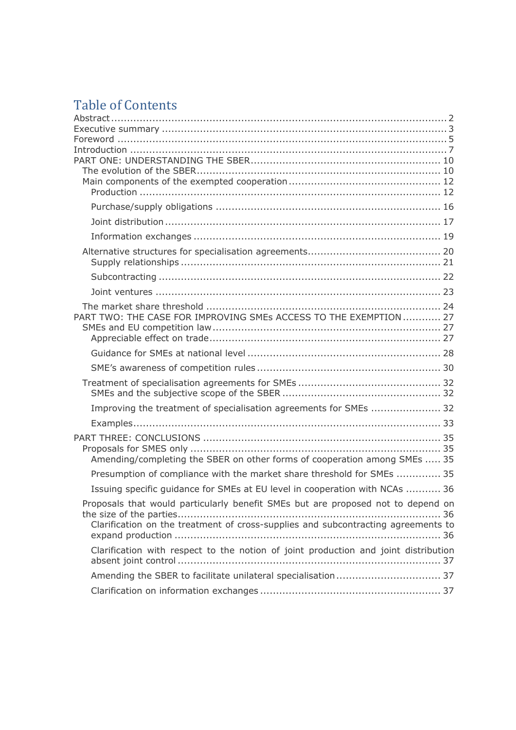# Table of Contents

| PART TWO: THE CASE FOR IMPROVING SMEs ACCESS TO THE EXEMPTION  27                   |  |
|-------------------------------------------------------------------------------------|--|
|                                                                                     |  |
|                                                                                     |  |
|                                                                                     |  |
|                                                                                     |  |
|                                                                                     |  |
| Improving the treatment of specialisation agreements for SMEs  32                   |  |
|                                                                                     |  |
|                                                                                     |  |
|                                                                                     |  |
| Amending/completing the SBER on other forms of cooperation among SMEs  35           |  |
| Presumption of compliance with the market share threshold for SMEs  35              |  |
| Issuing specific guidance for SMEs at EU level in cooperation with NCAs  36         |  |
| Proposals that would particularly benefit SMEs but are proposed not to depend on    |  |
|                                                                                     |  |
| Clarification on the treatment of cross-supplies and subcontracting agreements to   |  |
|                                                                                     |  |
| Clarification with respect to the notion of joint production and joint distribution |  |
| Amending the SBER to facilitate unilateral specialisation 37                        |  |
|                                                                                     |  |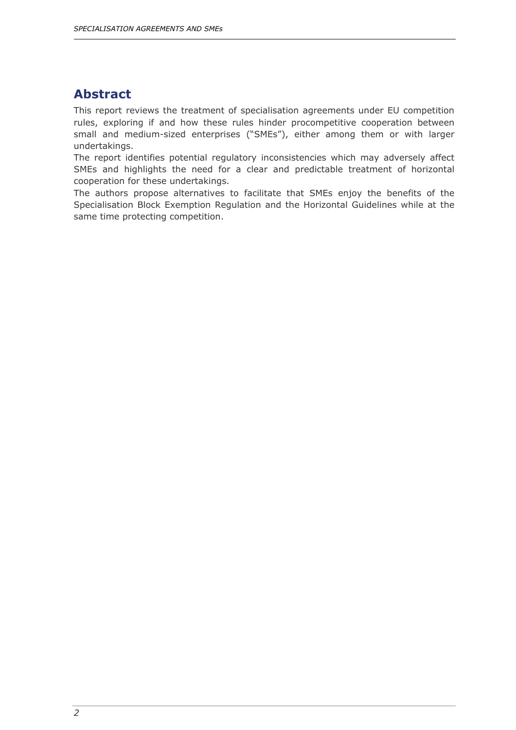# <span id="page-6-0"></span>**Abstract**

This report reviews the treatment of specialisation agreements under EU competition rules, exploring if and how these rules hinder procompetitive cooperation between small and medium-sized enterprises ("SMEs"), either among them or with larger undertakings.

The report identifies potential regulatory inconsistencies which may adversely affect SMEs and highlights the need for a clear and predictable treatment of horizontal cooperation for these undertakings.

The authors propose alternatives to facilitate that SMEs enjoy the benefits of the Specialisation Block Exemption Regulation and the Horizontal Guidelines while at the same time protecting competition.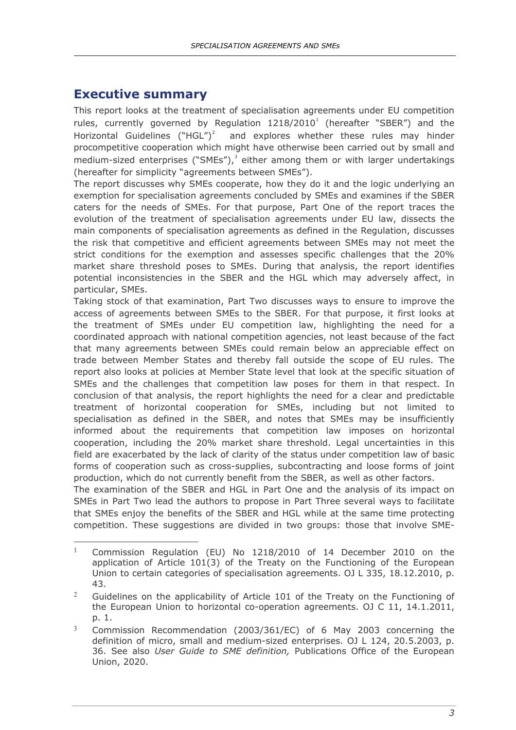### <span id="page-7-0"></span>**Executive summary**

This report looks at the treatment of specialisation agreements under EU competition rules, currently governed by Regulation  $1218/2010<sup>1</sup>$  $1218/2010<sup>1</sup>$  (hereafter "SBER") and the Horizontal Guidelines ("HGL")<sup>[2](#page-7-2)</sup> and explores whether these rules may hinder procompetitive cooperation which might have otherwise been carried out by small and medium-sized enterprises ("SMEs"), $3$  either among them or with larger undertakings (hereafter for simplicity "agreements between SMEs").

The report discusses why SMEs cooperate, how they do it and the logic underlying an exemption for specialisation agreements concluded by SMEs and examines if the SBER caters for the needs of SMEs. For that purpose, Part One of the report traces the evolution of the treatment of specialisation agreements under EU law, dissects the main components of specialisation agreements as defined in the Regulation, discusses the risk that competitive and efficient agreements between SMEs may not meet the strict conditions for the exemption and assesses specific challenges that the 20% market share threshold poses to SMEs. During that analysis, the report identifies potential inconsistencies in the SBER and the HGL which may adversely affect, in particular, SMEs.

Taking stock of that examination, Part Two discusses ways to ensure to improve the access of agreements between SMEs to the SBER. For that purpose, it first looks at the treatment of SMEs under EU competition law, highlighting the need for a coordinated approach with national competition agencies, not least because of the fact that many agreements between SMEs could remain below an appreciable effect on trade between Member States and thereby fall outside the scope of EU rules. The report also looks at policies at Member State level that look at the specific situation of SMEs and the challenges that competition law poses for them in that respect. In conclusion of that analysis, the report highlights the need for a clear and predictable treatment of horizontal cooperation for SMEs, including but not limited to specialisation as defined in the SBER, and notes that SMEs may be insufficiently informed about the requirements that competition law imposes on horizontal cooperation, including the 20% market share threshold. Legal uncertainties in this field are exacerbated by the lack of clarity of the status under competition law of basic forms of cooperation such as cross-supplies, subcontracting and loose forms of joint production, which do not currently benefit from the SBER, as well as other factors.

The examination of the SBER and HGL in Part One and the analysis of its impact on SMEs in Part Two lead the authors to propose in Part Three several ways to facilitate that SMEs enjoy the benefits of the SBER and HGL while at the same time protecting competition. These suggestions are divided in two groups: those that involve SME-

<span id="page-7-1"></span><sup>-</sup><sup>1</sup> Commission Regulation (EU) No 1218/2010 of 14 December 2010 on the application of Article 101(3) of the Treaty on the Functioning of the European Union to certain categories of specialisation agreements. OJ L 335, 18.12.2010, p. 43.

<span id="page-7-2"></span><sup>&</sup>lt;sup>2</sup> Guidelines on the applicability of Article 101 of the Treaty on the Functioning of the European Union to horizontal co-operation agreements. OJ C 11, 14.1.2011, p. 1.

<span id="page-7-3"></span><sup>3</sup> Commission Recommendation (2003/361/EC) of 6 May 2003 concerning the definition of micro, small and medium-sized enterprises. OJ L 124, 20.5.2003, p. 36. See also *User Guide to SME definition,* Publications Office of the European Union, 2020.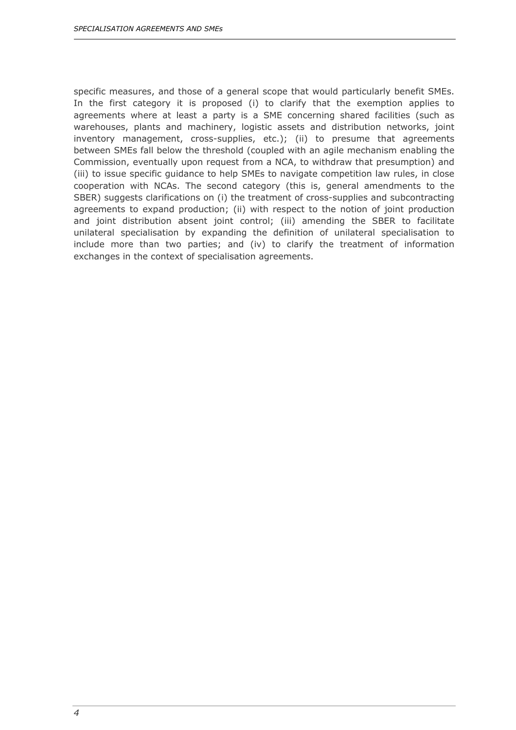specific measures, and those of a general scope that would particularly benefit SMEs. In the first category it is proposed (i) to clarify that the exemption applies to agreements where at least a party is a SME concerning shared facilities (such as warehouses, plants and machinery, logistic assets and distribution networks, joint inventory management, cross-supplies, etc.); (ii) to presume that agreements between SMEs fall below the threshold (coupled with an agile mechanism enabling the Commission, eventually upon request from a NCA, to withdraw that presumption) and (iii) to issue specific guidance to help SMEs to navigate competition law rules, in close cooperation with NCAs. The second category (this is, general amendments to the SBER) suggests clarifications on (i) the treatment of cross-supplies and subcontracting agreements to expand production; (ii) with respect to the notion of joint production and joint distribution absent joint control; (iii) amending the SBER to facilitate unilateral specialisation by expanding the definition of unilateral specialisation to include more than two parties; and (iv) to clarify the treatment of information exchanges in the context of specialisation agreements.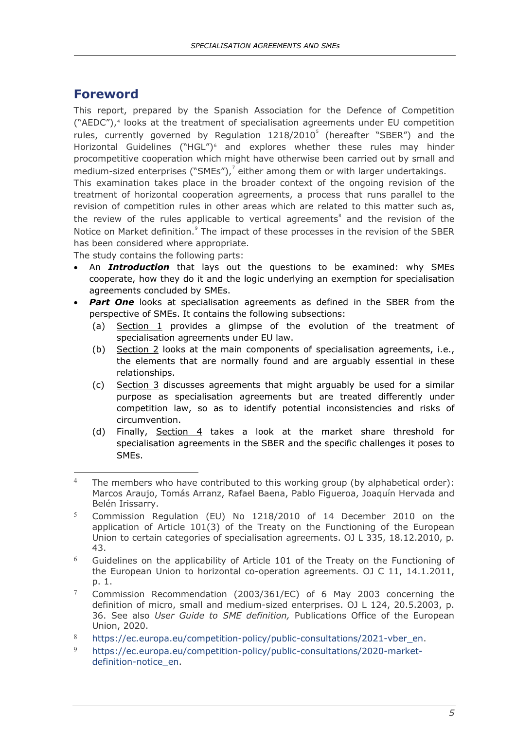# <span id="page-9-0"></span>**Foreword**

This report, prepared by the Spanish Association for the Defence of Competition  $("AEDC"),$ <sup>[4](#page-9-1)</sup> looks at the treatment of specialisation agreements under EU competition rules, currently governed by Regulation  $1218/2010<sup>5</sup>$  $1218/2010<sup>5</sup>$  $1218/2010<sup>5</sup>$  (hereafter "SBER") and the Horizontal Guidelines ("HGL")<sup>[6](#page-9-3)</sup> and explores whether these rules may hinder procompetitive cooperation which might have otherwise been carried out by small and medium-sized enterprises ("SMEs"), $^7$  $^7$  either among them or with larger undertakings.

This examination takes place in the broader context of the ongoing revision of the treatment of horizontal cooperation agreements, a process that runs parallel to the revision of competition rules in other areas which are related to this matter such as, the review of the rules applicable to vertical agreements<sup>[8](#page-9-5)</sup> and the revision of the Notice on Market definition.<sup>[9](#page-9-6)</sup> The impact of these processes in the revision of the SBER has been considered where appropriate.

The study contains the following parts:

- An *Introduction* that lays out the questions to be examined: why SMEs cooperate, how they do it and the logic underlying an exemption for specialisation agreements concluded by SMEs.
- **Part One** looks at specialisation agreements as defined in the SBER from the perspective of SMEs. It contains the following subsections:
	- (a) Section 1 provides a glimpse of the evolution of the treatment of specialisation agreements under EU law.
	- (b) Section 2 looks at the main components of specialisation agreements, i.e., the elements that are normally found and are arguably essential in these relationships.
	- (c) Section 3 discusses agreements that might arguably be used for a similar purpose as specialisation agreements but are treated differently under competition law, so as to identify potential inconsistencies and risks of circumvention.
	- (d) Finally, Section 4 takes a look at the market share threshold for specialisation agreements in the SBER and the specific challenges it poses to SMEs.

- <span id="page-9-3"></span> $6$  Guidelines on the applicability of Article 101 of the Treaty on the Functioning of the European Union to horizontal co-operation agreements. OJ C 11, 14.1.2011, p. 1.
- <span id="page-9-4"></span><sup>7</sup> Commission Recommendation (2003/361/EC) of 6 May 2003 concerning the definition of micro, small and medium-sized enterprises. OJ L 124, 20.5.2003, p. 36. See also *User Guide to SME definition,* Publications Office of the European Union, 2020.
- <span id="page-9-5"></span>8 [https://ec.europa.eu/competition-policy/public-consultations/2021-vber\\_en.](https://ec.europa.eu/competition-policy/public-consultations/2021-vber_en)
- <span id="page-9-6"></span><sup>9</sup> [https://ec.europa.eu/competition-policy/public-consultations/2020-market](https://ec.europa.eu/competition-policy/public-consultations/2020-market-definition-notice_en)[definition-notice\\_en.](https://ec.europa.eu/competition-policy/public-consultations/2020-market-definition-notice_en)

<span id="page-9-1"></span><sup>-</sup><sup>4</sup> The members who have contributed to this working group (by alphabetical order): Marcos Araujo, Tomás Arranz, Rafael Baena, Pablo Figueroa, Joaquín Hervada and Belén Irissarry.

<span id="page-9-2"></span><sup>5</sup> Commission Regulation (EU) No 1218/2010 of 14 December 2010 on the application of Article 101(3) of the Treaty on the Functioning of the European Union to certain categories of specialisation agreements. OJ L 335, 18.12.2010, p. 43.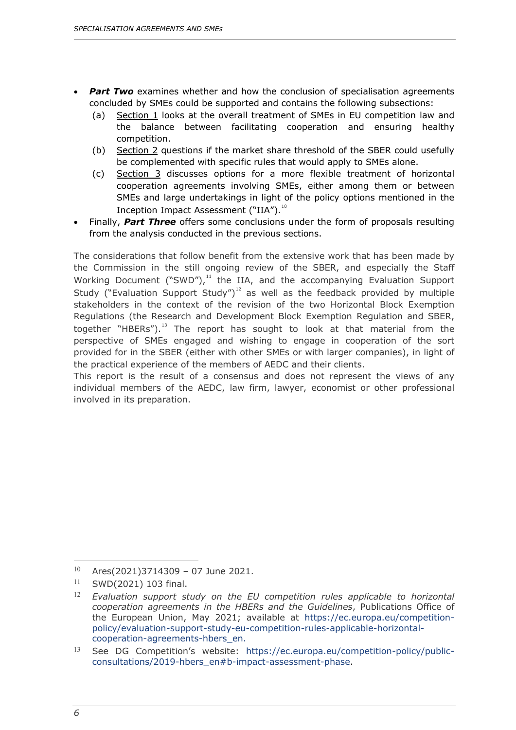- **Part Two** examines whether and how the conclusion of specialisation agreements concluded by SMEs could be supported and contains the following subsections:
	- (a) Section 1 looks at the overall treatment of SMEs in EU competition law and the balance between facilitating cooperation and ensuring healthy competition.
	- (b) Section 2 questions if the market share threshold of the SBER could usefully be complemented with specific rules that would apply to SMEs alone.
	- (c) Section 3 discusses options for a more flexible treatment of horizontal cooperation agreements involving SMEs, either among them or between SMEs and large undertakings in light of the policy options mentioned in the Inception Impact Assessment ("IIA").<sup>[10](#page-10-0)</sup>
- Finally, *Part Three* offers some conclusions under the form of proposals resulting from the analysis conducted in the previous sections.

The considerations that follow benefit from the extensive work that has been made by the Commission in the still ongoing review of the SBER, and especially the Staff Working Document ("SWD"), $11$  the IIA, and the accompanying Evaluation Support Study ("Evaluation Support Study")<sup>[12](#page-10-2)</sup> as well as the feedback provided by multiple stakeholders in the context of the revision of the two Horizontal Block Exemption Regulations (the Research and Development Block Exemption Regulation and SBER, together "HBERs").<sup>[13](#page-10-3)</sup> The report has sought to look at that material from the perspective of SMEs engaged and wishing to engage in cooperation of the sort provided for in the SBER (either with other SMEs or with larger companies), in light of the practical experience of the members of AEDC and their clients.

This report is the result of a consensus and does not represent the views of any individual members of the AEDC, law firm, lawyer, economist or other professional involved in its preparation.

 $\overline{a}$ 

<span id="page-10-0"></span><sup>10</sup> Ares(2021)3714309 – 07 June 2021.

<span id="page-10-1"></span><sup>11</sup> SWD(2021) 103 final.

<span id="page-10-2"></span><sup>12</sup> *Evaluation support study on the EU competition rules applicable to horizontal cooperation agreements in the HBERs and the Guidelines*, Publications Office of the European Union, May 2021; available at [https://ec.europa.eu/competition](https://ec.europa.eu/competition-policy/evaluation-support-study-eu-competition-rules-applicable-horizontal-cooperation-agreements-hbers_en)[policy/evaluation-support-study-eu-competition-rules-applicable-horizontal](https://ec.europa.eu/competition-policy/evaluation-support-study-eu-competition-rules-applicable-horizontal-cooperation-agreements-hbers_en)[cooperation-agreements-hbers\\_en.](https://ec.europa.eu/competition-policy/evaluation-support-study-eu-competition-rules-applicable-horizontal-cooperation-agreements-hbers_en)

<span id="page-10-3"></span><sup>13</sup> See DG Competition's website: [https://ec.europa.eu/competition-policy/public](https://ec.europa.eu/competition-policy/public-consultations/2019-hbers_en#b-impact-assessment-phase)[consultations/2019-hbers\\_en#b-impact-assessment-phase.](https://ec.europa.eu/competition-policy/public-consultations/2019-hbers_en#b-impact-assessment-phase)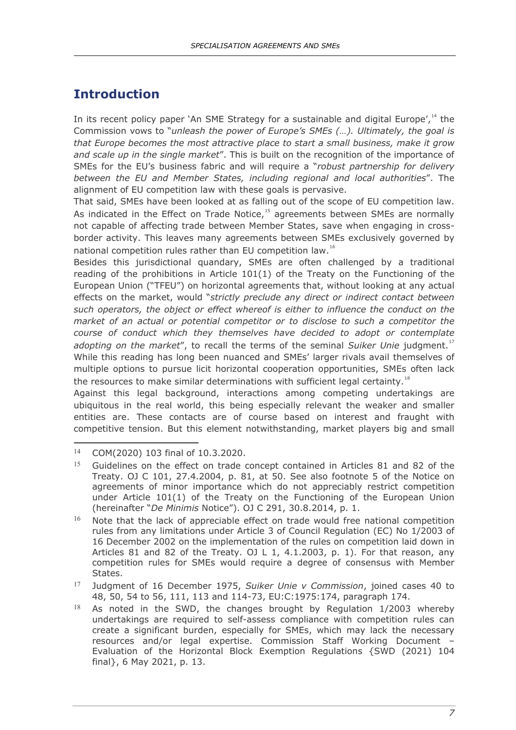# <span id="page-11-0"></span>**Introduction**

In its recent policy paper `An SME Strategy for a sustainable and digital Europe'.<sup>[14](#page-11-1)</sup> the Commission vows to "*unleash the power of Europe's SMEs (…). Ultimately, the goal is that Europe becomes the most attractive place to start a small business, make it grow and scale up in the single market*". This is built on the recognition of the importance of SMEs for the EU's business fabric and will require a "*robust partnership for delivery between the EU and Member States, including regional and local authorities*". The alignment of EU competition law with these goals is pervasive.

That said, SMEs have been looked at as falling out of the scope of EU competition law. As indicated in the Effect on Trade Notice, $15$  agreements between SMEs are normally not capable of affecting trade between Member States, save when engaging in crossborder activity. This leaves many agreements between SMEs exclusively governed by national competition rules rather than EU competition law.<sup>[16](#page-11-3)</sup>

Besides this jurisdictional quandary, SMEs are often challenged by a traditional reading of the prohibitions in Article 101(1) of the Treaty on the Functioning of the European Union ("TFEU") on horizontal agreements that, without looking at any actual effects on the market, would "*strictly preclude any direct or indirect contact between such operators, the object or effect whereof is either to influence the conduct on the market of an actual or potential competitor or to disclose to such a competitor the course of conduct which they themselves have decided to adopt or contemplate adopting on the market"*, to recall the terms of the seminal *Suiker Unie* judgment.<sup>[17](#page-11-4)</sup> While this reading has long been nuanced and SMEs' larger rivals avail themselves of multiple options to pursue licit horizontal cooperation opportunities, SMEs often lack the resources to make similar determinations with sufficient legal certainty.<sup>[18](#page-11-5)</sup>

Against this legal background, interactions among competing undertakings are ubiquitous in the real world, this being especially relevant the weaker and smaller entities are. These contacts are of course based on interest and fraught with competitive tension. But this element notwithstanding, market players big and small

<span id="page-11-1"></span> $\overline{a}$ <sup>14</sup> COM(2020) 103 final of 10.3.2020.

<span id="page-11-2"></span><sup>&</sup>lt;sup>15</sup> Guidelines on the effect on trade concept contained in Articles 81 and 82 of the Treaty. OJ C 101, 27.4.2004, p. 81, at 50. See also footnote 5 of the Notice on agreements of minor importance which do not appreciably restrict competition under Article 101(1) of the Treaty on the Functioning of the European Union (hereinafter "*De Minimis* Notice"). OJ C 291, 30.8.2014, p. 1.

<span id="page-11-3"></span> $16$  Note that the lack of appreciable effect on trade would free national competition rules from any limitations under Article 3 of Council Regulation (EC) No 1/2003 of 16 December 2002 on the implementation of the rules on competition laid down in Articles 81 and 82 of the Treaty. OJ L 1, 4.1.2003, p. 1). For that reason, any competition rules for SMEs would require a degree of consensus with Member States.

<span id="page-11-4"></span><sup>17</sup> Judgment of 16 December 1975, *Suiker Unie v Commission*, joined cases 40 to 48, 50, 54 to 56, 111, 113 and 114-73, EU:C:1975:174, paragraph 174.

<span id="page-11-5"></span> $18$  As noted in the SWD, the changes brought by Regulation 1/2003 whereby undertakings are required to self-assess compliance with competition rules can create a significant burden, especially for SMEs, which may lack the necessary resources and/or legal expertise. Commission Staff Working Document – Evaluation of the Horizontal Block Exemption Regulations {SWD (2021) 104 final}, 6 May 2021, p. 13.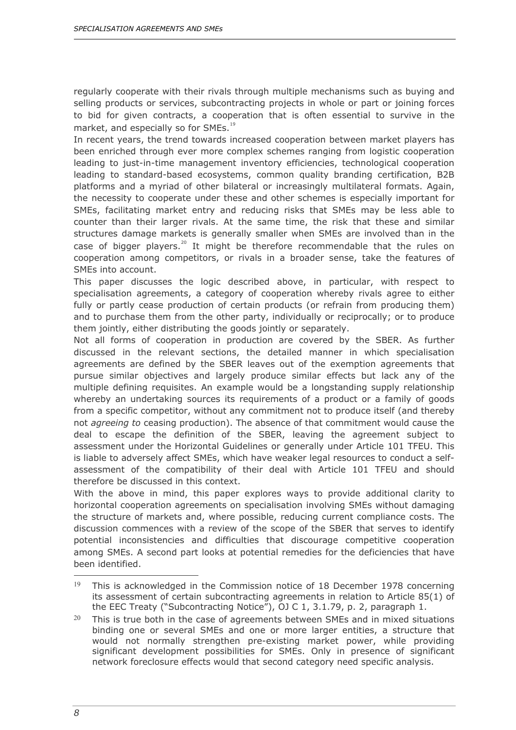regularly cooperate with their rivals through multiple mechanisms such as buying and selling products or services, subcontracting projects in whole or part or joining forces to bid for given contracts, a cooperation that is often essential to survive in the market, and especially so for SMEs.<sup>[19](#page-12-0)</sup>

In recent years, the trend towards increased cooperation between market players has been enriched through ever more complex schemes ranging from logistic cooperation leading to just-in-time management inventory efficiencies, technological cooperation leading to standard-based ecosystems, common quality branding certification, B2B platforms and a myriad of other bilateral or increasingly multilateral formats. Again, the necessity to cooperate under these and other schemes is especially important for SMEs, facilitating market entry and reducing risks that SMEs may be less able to counter than their larger rivals. At the same time, the risk that these and similar structures damage markets is generally smaller when SMEs are involved than in the case of bigger players.<sup>[20](#page-12-1)</sup> It might be therefore recommendable that the rules on cooperation among competitors, or rivals in a broader sense, take the features of SMEs into account.

This paper discusses the logic described above, in particular, with respect to specialisation agreements, a category of cooperation whereby rivals agree to either fully or partly cease production of certain products (or refrain from producing them) and to purchase them from the other party, individually or reciprocally; or to produce them jointly, either distributing the goods jointly or separately.

Not all forms of cooperation in production are covered by the SBER. As further discussed in the relevant sections, the detailed manner in which specialisation agreements are defined by the SBER leaves out of the exemption agreements that pursue similar objectives and largely produce similar effects but lack any of the multiple defining requisites. An example would be a longstanding supply relationship whereby an undertaking sources its requirements of a product or a family of goods from a specific competitor, without any commitment not to produce itself (and thereby not *agreeing to* ceasing production). The absence of that commitment would cause the deal to escape the definition of the SBER, leaving the agreement subject to assessment under the Horizontal Guidelines or generally under Article 101 TFEU. This is liable to adversely affect SMEs, which have weaker legal resources to conduct a selfassessment of the compatibility of their deal with Article 101 TFEU and should therefore be discussed in this context.

With the above in mind, this paper explores ways to provide additional clarity to horizontal cooperation agreements on specialisation involving SMEs without damaging the structure of markets and, where possible, reducing current compliance costs. The discussion commences with a review of the scope of the SBER that serves to identify potential inconsistencies and difficulties that discourage competitive cooperation among SMEs. A second part looks at potential remedies for the deficiencies that have been identified.

<span id="page-12-0"></span><sup>&</sup>lt;sup>19</sup> This is acknowledged in the Commission notice of 18 December 1978 concerning its assessment of certain subcontracting agreements in relation to Article 85(1) of the EEC Treaty ("Subcontracting Notice"), OJ C 1, 3.1.79, p. 2, paragraph 1.

<span id="page-12-1"></span> $20$  This is true both in the case of agreements between SMEs and in mixed situations binding one or several SMEs and one or more larger entities, a structure that would not normally strengthen pre-existing market power, while providing significant development possibilities for SMEs. Only in presence of significant network foreclosure effects would that second category need specific analysis.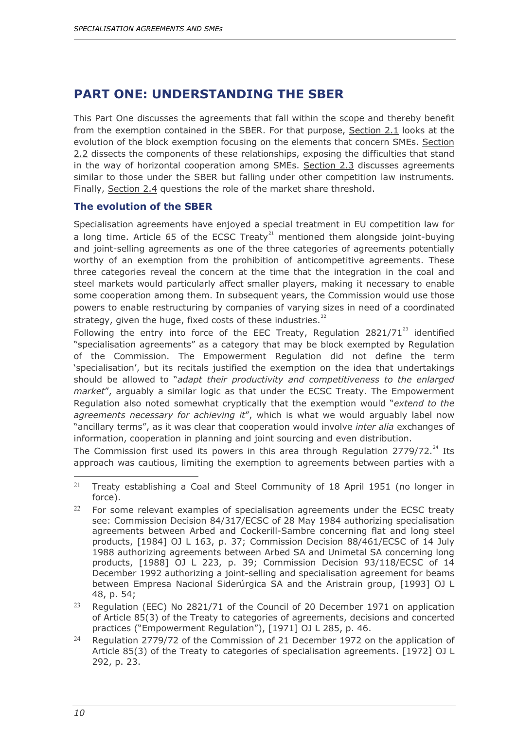# <span id="page-14-0"></span>**PART ONE: UNDERSTANDING THE SBER**

This Part One discusses the agreements that fall within the scope and thereby benefit from the exemption contained in the SBER. For that purpose, Section 2.1 looks at the evolution of the block exemption focusing on the elements that concern SMEs. Section 2.2 dissects the components of these relationships, exposing the difficulties that stand in the way of horizontal cooperation among SMEs. Section 2.3 discusses agreements similar to those under the SBER but falling under other competition law instruments. Finally, Section 2.4 questions the role of the market share threshold.

#### <span id="page-14-1"></span>**The evolution of the SBER**

Specialisation agreements have enjoyed a special treatment in EU competition law for a long time. Article 65 of the ECSC Treaty<sup>[21](#page-14-2)</sup> mentioned them alongside joint-buying and joint-selling agreements as one of the three categories of agreements potentially worthy of an exemption from the prohibition of anticompetitive agreements. These three categories reveal the concern at the time that the integration in the coal and steel markets would particularly affect smaller players, making it necessary to enable some cooperation among them. In subsequent years, the Commission would use those powers to enable restructuring by companies of varying sizes in need of a coordinated strategy, given the huge, fixed costs of these industries. $^{22}$  $^{22}$  $^{22}$ 

Following the entry into force of the EEC Treaty, Regulation  $2821/71^{23}$  $2821/71^{23}$  $2821/71^{23}$  identified "specialisation agreements" as a category that may be block exempted by Regulation of the Commission. The Empowerment Regulation did not define the term 'specialisation', but its recitals justified the exemption on the idea that undertakings should be allowed to "*adapt their productivity and competitiveness to the enlarged market*", arguably a similar logic as that under the ECSC Treaty. The Empowerment Regulation also noted somewhat cryptically that the exemption would "*extend to the agreements necessary for achieving it*", which is what we would arguably label now "ancillary terms", as it was clear that cooperation would involve *inter alia* exchanges of information, cooperation in planning and joint sourcing and even distribution.

The Commission first used its powers in this area through Regulation 2779/72. $^{24}$  $^{24}$  $^{24}$  Its approach was cautious, limiting the exemption to agreements between parties with a

<span id="page-14-2"></span><sup>&</sup>lt;sup>21</sup> Treaty establishing a Coal and Steel Community of 18 April 1951 (no longer in force).

<span id="page-14-3"></span> $22$  For some relevant examples of specialisation agreements under the ECSC treaty see: Commission Decision 84/317/ECSC of 28 May 1984 authorizing specialisation agreements between Arbed and Cockerill-Sambre concerning flat and long steel products, [1984] OJ L 163, p. 37; Commission Decision 88/461/ECSC of 14 July 1988 authorizing agreements between Arbed SA and Unimetal SA concerning long products, [1988] OJ L 223, p. 39; Commission Decision 93/118/ECSC of 14 December 1992 authorizing a joint-selling and specialisation agreement for beams between Empresa Nacional Siderúrgica SA and the Aristrain group, [1993] OJ L 48, p. 54;

<span id="page-14-4"></span><sup>&</sup>lt;sup>23</sup> Regulation (EEC) No 2821/71 of the Council of 20 December 1971 on application of Article 85(3) of the Treaty to categories of agreements, decisions and concerted practices ("Empowerment Regulation"), [1971] OJ L 285, p. 46.

<span id="page-14-5"></span><sup>&</sup>lt;sup>24</sup> Regulation 2779/72 of the Commission of 21 December 1972 on the application of Article 85(3) of the Treaty to categories of specialisation agreements. [1972] OJ L 292, p. 23.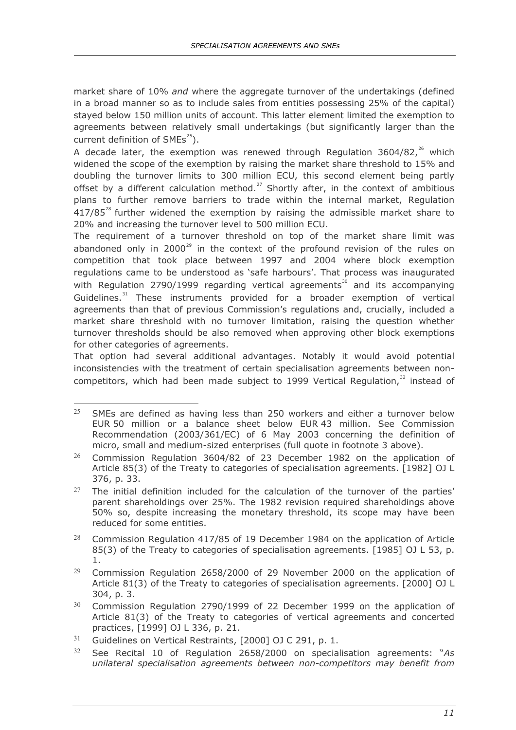market share of 10% *and* where the aggregate turnover of the undertakings (defined in a broad manner so as to include sales from entities possessing 25% of the capital) stayed below 150 million units of account. This latter element limited the exemption to agreements between relatively small undertakings (but significantly larger than the current definition of  $SMEs<sup>25</sup>$ ).

A decade later, the exemption was renewed through Regulation  $3604/82$ ,<sup>[26](#page-15-1)</sup> which widened the scope of the exemption by raising the market share threshold to 15% and doubling the turnover limits to 300 million ECU, this second element being partly offset by a different calculation method.<sup>[27](#page-15-2)</sup> Shortly after, in the context of ambitious plans to further remove barriers to trade within the internal market, Regulation  $417/85^{28}$  $417/85^{28}$  $417/85^{28}$  further widened the exemption by raising the admissible market share to 20% and increasing the turnover level to 500 million ECU.

The requirement of a turnover threshold on top of the market share limit was abandoned only in 2000 $^{29}$  $^{29}$  $^{29}$  in the context of the profound revision of the rules on competition that took place between 1997 and 2004 where block exemption regulations came to be understood as 'safe harbours'. That process was inaugurated with Regulation 2790/1999 regarding vertical agreements<sup>[30](#page-15-5)</sup> and its accompanying Guidelines.<sup>[31](#page-15-6)</sup> These instruments provided for a broader exemption of vertical agreements than that of previous Commission's regulations and, crucially, included a market share threshold with no turnover limitation, raising the question whether turnover thresholds should be also removed when approving other block exemptions for other categories of agreements.

That option had several additional advantages. Notably it would avoid potential inconsistencies with the treatment of certain specialisation agreements between noncompetitors, which had been made subject to 1999 Vertical Regulation, $32$  instead of

<span id="page-15-0"></span><sup>25</sup> <sup>25</sup> SMEs are defined as having less than 250 workers and either a turnover below EUR 50 million or a balance sheet below EUR 43 million. See Commission Recommendation (2003/361/EC) of 6 May 2003 concerning the definition of micro, small and medium-sized enterprises (full quote in footnote 3 above).

<span id="page-15-1"></span> $26$  Commission Regulation 3604/82 of 23 December 1982 on the application of Article 85(3) of the Treaty to categories of specialisation agreements. [1982] OJ L 376, p. 33.

<span id="page-15-2"></span><sup>&</sup>lt;sup>27</sup> The initial definition included for the calculation of the turnover of the parties' parent shareholdings over 25%. The 1982 revision required shareholdings above 50% so, despite increasing the monetary threshold, its scope may have been reduced for some entities.

<span id="page-15-3"></span><sup>&</sup>lt;sup>28</sup> Commission Regulation 417/85 of 19 December 1984 on the application of Article 85(3) of the Treaty to categories of specialisation agreements. [1985] OJ L 53, p. 1.

<span id="page-15-4"></span> $29$  Commission Regulation 2658/2000 of 29 November 2000 on the application of Article 81(3) of the Treaty to categories of specialisation agreements. [2000] OJ L 304, p. 3.

<span id="page-15-5"></span><sup>30</sup> Commission Regulation 2790/1999 of 22 December 1999 on the application of Article 81(3) of the Treaty to categories of vertical agreements and concerted practices, [1999] OJ L 336, p. 21.

<span id="page-15-6"></span><sup>&</sup>lt;sup>31</sup> Guidelines on Vertical Restraints, [2000] OJ C 291, p. 1.

<span id="page-15-7"></span><sup>32</sup> See Recital 10 of Regulation 2658/2000 on specialisation agreements: "*As unilateral specialisation agreements between non-competitors may benefit from*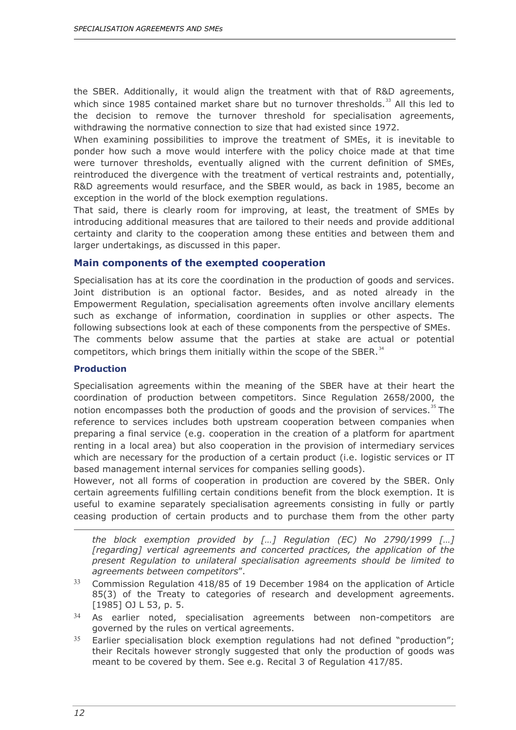the SBER. Additionally, it would align the treatment with that of R&D agreements, which since 1985 contained market share but no turnover thresholds. $^{33}$  $^{33}$  $^{33}$  All this led to the decision to remove the turnover threshold for specialisation agreements, withdrawing the normative connection to size that had existed since 1972.

When examining possibilities to improve the treatment of SMEs, it is inevitable to ponder how such a move would interfere with the policy choice made at that time were turnover thresholds, eventually aligned with the current definition of SMEs, reintroduced the divergence with the treatment of vertical restraints and, potentially, R&D agreements would resurface, and the SBER would, as back in 1985, become an exception in the world of the block exemption regulations.

That said, there is clearly room for improving, at least, the treatment of SMEs by introducing additional measures that are tailored to their needs and provide additional certainty and clarity to the cooperation among these entities and between them and larger undertakings, as discussed in this paper.

#### <span id="page-16-0"></span>**Main components of the exempted cooperation**

Specialisation has at its core the coordination in the production of goods and services. Joint distribution is an optional factor. Besides, and as noted already in the Empowerment Regulation, specialisation agreements often involve ancillary elements such as exchange of information, coordination in supplies or other aspects. The following subsections look at each of these components from the perspective of SMEs. The comments below assume that the parties at stake are actual or potential competitors, which brings them initially within the scope of the SBER. $34$ 

#### <span id="page-16-1"></span>**Production**

Specialisation agreements within the meaning of the SBER have at their heart the coordination of production between competitors. Since Regulation 2658/2000, the notion encompasses both the production of goods and the provision of services.<sup>[35](#page-16-4)</sup> The reference to services includes both upstream cooperation between companies when preparing a final service (e.g. cooperation in the creation of a platform for apartment renting in a local area) but also cooperation in the provision of intermediary services which are necessary for the production of a certain product (i.e. logistic services or IT based management internal services for companies selling goods).

However, not all forms of cooperation in production are covered by the SBER. Only certain agreements fulfilling certain conditions benefit from the block exemption. It is useful to examine separately specialisation agreements consisting in fully or partly ceasing production of certain products and to purchase them from the other party

*the block exemption provided by […] Regulation (EC) No 2790/1999 […]*  [regarding] vertical agreements and concerted practices, the application of the *present Regulation to unilateral specialisation agreements should be limited to agreements between competitors*".

- <span id="page-16-2"></span><sup>33</sup> Commission Regulation 418/85 of 19 December 1984 on the application of Article 85(3) of the Treaty to categories of research and development agreements. [1985] OJ L 53, p. 5.
- <span id="page-16-3"></span><sup>34</sup> As earlier noted, specialisation agreements between non-competitors are governed by the rules on vertical agreements.
- <span id="page-16-4"></span> $35$  Earlier specialisation block exemption regulations had not defined "production"; their Recitals however strongly suggested that only the production of goods was meant to be covered by them. See e.g. Recital 3 of Regulation 417/85.

ł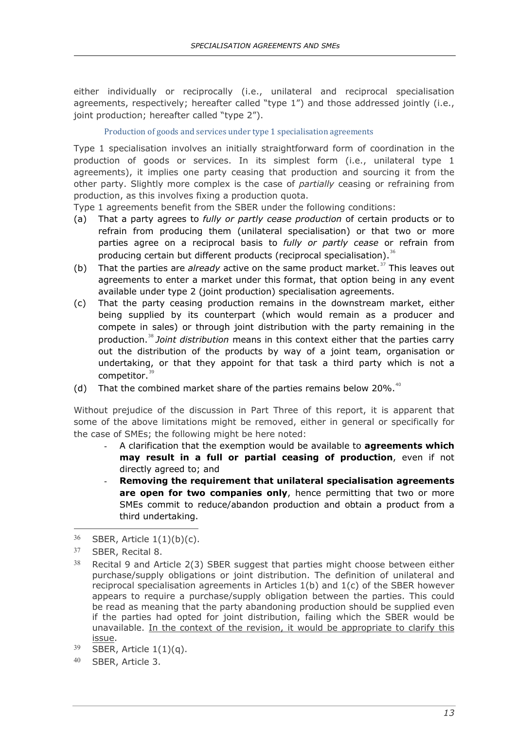either individually or reciprocally (i.e., unilateral and reciprocal specialisation agreements, respectively; hereafter called "type 1") and those addressed jointly (i.e., joint production; hereafter called "type 2").

#### Production of goods and services under type 1 specialisation agreements

Type 1 specialisation involves an initially straightforward form of coordination in the production of goods or services. In its simplest form (i.e., unilateral type 1 agreements), it implies one party ceasing that production and sourcing it from the other party. Slightly more complex is the case of *partially* ceasing or refraining from production, as this involves fixing a production quota.

Type 1 agreements benefit from the SBER under the following conditions:

- (a) That a party agrees to *fully or partly cease production* of certain products or to refrain from producing them (unilateral specialisation) or that two or more parties agree on a reciprocal basis to *fully or partly cease* or refrain from producing certain but different products (reciprocal specialisation).<sup>[36](#page-17-0)</sup>
- (b) That the parties are *already* active on the same product market.<sup>[37](#page-17-1)</sup> This leaves out agreements to enter a market under this format, that option being in any event available under type 2 (joint production) specialisation agreements.
- (c) That the party ceasing production remains in the downstream market, either being supplied by its counterpart (which would remain as a producer and compete in sales) or through joint distribution with the party remaining in the production.[38](#page-17-2) *Joint distribution* means in this context either that the parties carry out the distribution of the products by way of a joint team, organisation or undertaking, or that they appoint for that task a third party which is not a competitor. $39$
- (d) That the combined market share of the parties remains below 20%. $40$

Without prejudice of the discussion in Part Three of this report, it is apparent that some of the above limitations might be removed, either in general or specifically for the case of SMEs; the following might be here noted:

- A clarification that the exemption would be available to **agreements which may result in a full or partial ceasing of production**, even if not directly agreed to; and
- **Removing the requirement that unilateral specialisation agreements**  are open for two companies only, hence permitting that two or more SMEs commit to reduce/abandon production and obtain a product from a third undertaking.

<span id="page-17-0"></span> $36$  SBER, Article  $1(1)(b)(c)$ .

<span id="page-17-1"></span><sup>37</sup> SBER, Recital 8.

<span id="page-17-2"></span> $38$  Recital 9 and Article 2(3) SBER suggest that parties might choose between either purchase/supply obligations or joint distribution. The definition of unilateral and reciprocal specialisation agreements in Articles 1(b) and 1(c) of the SBER however appears to require a purchase/supply obligation between the parties. This could be read as meaning that the party abandoning production should be supplied even if the parties had opted for joint distribution, failing which the SBER would be unavailable. In the context of the revision, it would be appropriate to clarify this issue.

<span id="page-17-3"></span> $39$  SBER, Article 1(1)(q).

<span id="page-17-4"></span><sup>40</sup> SBER, Article 3.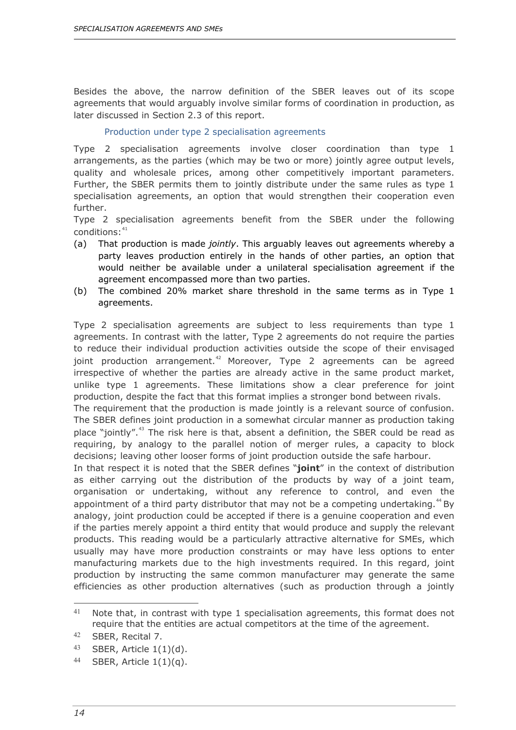Besides the above, the narrow definition of the SBER leaves out of its scope agreements that would arguably involve similar forms of coordination in production, as later discussed in Section 2.3 of this report.

#### Production under type 2 specialisation agreements

Type 2 specialisation agreements involve closer coordination than type 1 arrangements, as the parties (which may be two or more) jointly agree output levels, quality and wholesale prices, among other competitively important parameters. Further, the SBER permits them to jointly distribute under the same rules as type 1 specialisation agreements, an option that would strengthen their cooperation even further.

Type 2 specialisation agreements benefit from the SBER under the following  $conditions:$ <sup>[41](#page-18-0)</sup>

- (a) That production is made *jointly*. This arguably leaves out agreements whereby a party leaves production entirely in the hands of other parties, an option that would neither be available under a unilateral specialisation agreement if the agreement encompassed more than two parties.
- (b) The combined 20% market share threshold in the same terms as in Type 1 agreements.

Type 2 specialisation agreements are subject to less requirements than type 1 agreements. In contrast with the latter, Type 2 agreements do not require the parties to reduce their individual production activities outside the scope of their envisaged joint production arrangement.<sup>[42](#page-18-1)</sup> Moreover, Type 2 agreements can be agreed irrespective of whether the parties are already active in the same product market, unlike type 1 agreements. These limitations show a clear preference for joint production, despite the fact that this format implies a stronger bond between rivals.

The requirement that the production is made jointly is a relevant source of confusion. The SBER defines joint production in a somewhat circular manner as production taking place "jointly".[43](#page-18-2) The risk here is that, absent a definition, the SBER could be read as requiring, by analogy to the parallel notion of merger rules, a capacity to block decisions; leaving other looser forms of joint production outside the safe harbour.

In that respect it is noted that the SBER defines "**joint**" in the context of distribution as either carrying out the distribution of the products by way of a joint team, organisation or undertaking, without any reference to control, and even the appointment of a third party distributor that may not be a competing undertaking.<sup>[44](#page-18-3)</sup> By analogy, joint production could be accepted if there is a genuine cooperation and even if the parties merely appoint a third entity that would produce and supply the relevant products. This reading would be a particularly attractive alternative for SMEs, which usually may have more production constraints or may have less options to enter manufacturing markets due to the high investments required. In this regard, joint production by instructing the same common manufacturer may generate the same efficiencies as other production alternatives (such as production through a jointly

<span id="page-18-0"></span> $41$ Note that, in contrast with type 1 specialisation agreements, this format does not require that the entities are actual competitors at the time of the agreement.

<span id="page-18-1"></span><sup>42</sup> SBER, Recital 7.

<span id="page-18-2"></span><sup>43</sup> SBER, Article  $1(1)(d)$ .

<span id="page-18-3"></span><sup>44</sup> SBER, Article  $1(1)(q)$ .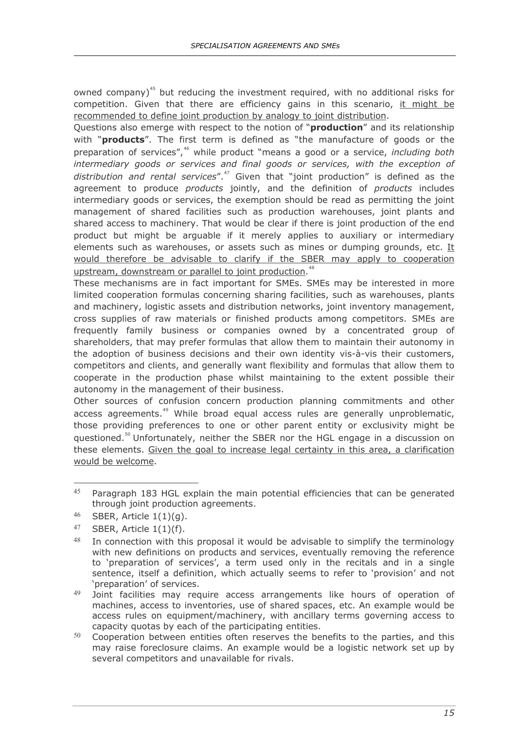owned company)<sup>[45](#page-19-0)</sup> but reducing the investment required, with no additional risks for competition. Given that there are efficiency gains in this scenario, it might be recommended to define joint production by analogy to joint distribution.

Questions also emerge with respect to the notion of "**production**" and its relationship with "**products**". The first term is defined as "the manufacture of goods or the preparation of services",<sup>[46](#page-19-1)</sup> while product "means a good or a service, *including both intermediary goods or services and final goods or services, with the exception of distribution and rental services*".[47](#page-19-2) Given that "joint production" is defined as the agreement to produce *products* jointly, and the definition of *products* includes intermediary goods or services, the exemption should be read as permitting the joint management of shared facilities such as production warehouses, joint plants and shared access to machinery. That would be clear if there is joint production of the end product but might be arguable if it merely applies to auxiliary or intermediary elements such as warehouses, or assets such as mines or dumping grounds, etc. It would therefore be advisable to clarify if the SBER may apply to cooperation upstream, downstream or parallel to joint production.<sup>[48](#page-19-3)</sup>

These mechanisms are in fact important for SMEs. SMEs may be interested in more limited cooperation formulas concerning sharing facilities, such as warehouses, plants and machinery, logistic assets and distribution networks, joint inventory management, cross supplies of raw materials or finished products among competitors. SMEs are frequently family business or companies owned by a concentrated group of shareholders, that may prefer formulas that allow them to maintain their autonomy in the adoption of business decisions and their own identity vis-à-vis their customers, competitors and clients, and generally want flexibility and formulas that allow them to cooperate in the production phase whilst maintaining to the extent possible their autonomy in the management of their business.

Other sources of confusion concern production planning commitments and other access agreements.<sup>[49](#page-19-4)</sup> While broad equal access rules are generally unproblematic, those providing preferences to one or other parent entity or exclusivity might be guestioned.<sup>[50](#page-19-5)</sup> Unfortunately, neither the SBER nor the HGL engage in a discussion on these elements. Given the goal to increase legal certainty in this area, a clarification would be welcome.

<span id="page-19-0"></span><sup>45</sup> Paragraph 183 HGL explain the main potential efficiencies that can be generated through joint production agreements.

<span id="page-19-1"></span> $46$  SBER, Article  $1(1)(q)$ .

<span id="page-19-2"></span><sup>47</sup> SBER, Article  $1(1)(f)$ .

<span id="page-19-3"></span> $48$  In connection with this proposal it would be advisable to simplify the terminology with new definitions on products and services, eventually removing the reference to 'preparation of services', a term used only in the recitals and in a single sentence, itself a definition, which actually seems to refer to 'provision' and not 'preparation' of services.

<span id="page-19-4"></span><sup>49</sup> Joint facilities may require access arrangements like hours of operation of machines, access to inventories, use of shared spaces, etc. An example would be access rules on equipment/machinery, with ancillary terms governing access to capacity quotas by each of the participating entities.

<span id="page-19-5"></span> $50$  Cooperation between entities often reserves the benefits to the parties, and this may raise foreclosure claims. An example would be a logistic network set up by several competitors and unavailable for rivals.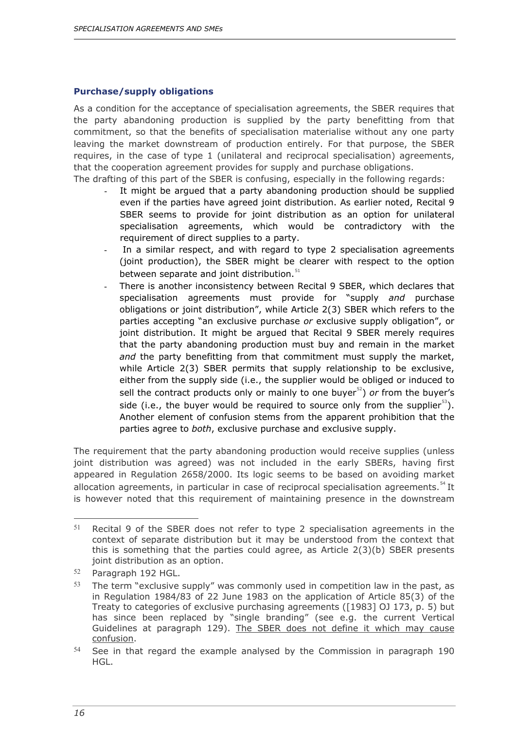#### <span id="page-20-0"></span>**Purchase/supply obligations**

As a condition for the acceptance of specialisation agreements, the SBER requires that the party abandoning production is supplied by the party benefitting from that commitment, so that the benefits of specialisation materialise without any one party leaving the market downstream of production entirely. For that purpose, the SBER requires, in the case of type 1 (unilateral and reciprocal specialisation) agreements, that the cooperation agreement provides for supply and purchase obligations. The drafting of this part of the SBER is confusing, especially in the following regards:

- It might be argued that a party abandoning production should be supplied even if the parties have agreed joint distribution. As earlier noted, Recital 9 SBER seems to provide for joint distribution as an option for unilateral specialisation agreements, which would be contradictory with the requirement of direct supplies to a party.
- In a similar respect, and with regard to type 2 specialisation agreements (joint production), the SBER might be clearer with respect to the option between separate and joint distribution.<sup>[51](#page-20-1)</sup>
- There is another inconsistency between Recital 9 SBER, which declares that specialisation agreements must provide for "supply *and* purchase obligations or joint distribution", while Article 2(3) SBER which refers to the parties accepting "an exclusive purchase *or* exclusive supply obligation", or joint distribution. It might be argued that Recital 9 SBER merely requires that the party abandoning production must buy and remain in the market *and* the party benefitting from that commitment must supply the market, while Article 2(3) SBER permits that supply relationship to be exclusive, either from the supply side (i.e., the supplier would be obliged or induced to sell the contract products only or mainly to one buyer<sup>[52](#page-20-2)</sup>) *or* from the buyer's side (i.e., the buyer would be required to source only from the supplier<sup>[53](#page-20-3)</sup>). Another element of confusion stems from the apparent prohibition that the parties agree to *both*, exclusive purchase and exclusive supply.

The requirement that the party abandoning production would receive supplies (unless joint distribution was agreed) was not included in the early SBERs, having first appeared in Regulation 2658/2000. Its logic seems to be based on avoiding market allocation agreements, in particular in case of reciprocal specialisation agreements.<sup>[54](#page-20-4)</sup> It is however noted that this requirement of maintaining presence in the downstream

<span id="page-20-1"></span><sup>-</sup> $51$  Recital 9 of the SBER does not refer to type 2 specialisation agreements in the context of separate distribution but it may be understood from the context that this is something that the parties could agree, as Article  $2(3)(b)$  SBER presents joint distribution as an option.

<span id="page-20-2"></span><sup>52</sup> Paragraph 192 HGL.

<span id="page-20-3"></span> $53$  The term "exclusive supply" was commonly used in competition law in the past, as in Regulation 1984/83 of 22 June 1983 on the application of Article 85(3) of the Treaty to categories of exclusive purchasing agreements ([1983] OJ 173, p. 5) but has since been replaced by "single branding" (see e.g. the current Vertical Guidelines at paragraph 129). The SBER does not define it which may cause confusion.

<span id="page-20-4"></span><sup>54</sup> See in that regard the example analysed by the Commission in paragraph 190 HGL.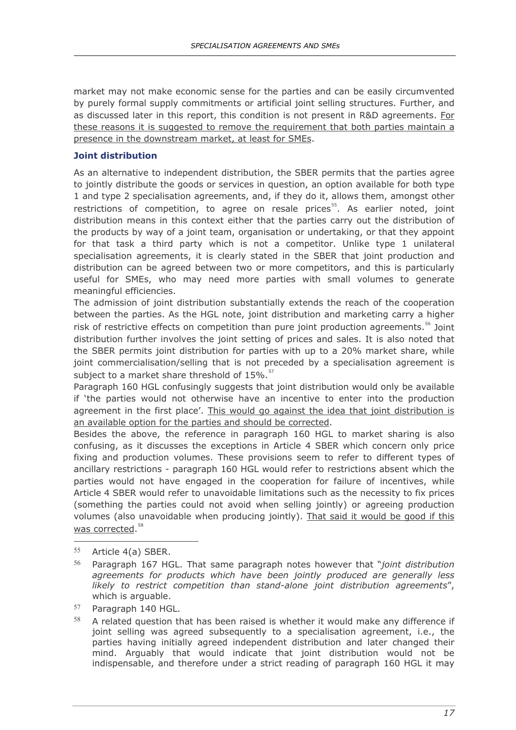market may not make economic sense for the parties and can be easily circumvented by purely formal supply commitments or artificial joint selling structures. Further, and as discussed later in this report, this condition is not present in R&D agreements. For these reasons it is suggested to remove the requirement that both parties maintain a presence in the downstream market, at least for SMEs.

#### <span id="page-21-0"></span>**Joint distribution**

As an alternative to independent distribution, the SBER permits that the parties agree to jointly distribute the goods or services in question, an option available for both type 1 and type 2 specialisation agreements, and, if they do it, allows them, amongst other restrictions of competition, to agree on resale prices $55$ . As earlier noted, joint distribution means in this context either that the parties carry out the distribution of the products by way of a joint team, organisation or undertaking, or that they appoint for that task a third party which is not a competitor. Unlike type 1 unilateral specialisation agreements, it is clearly stated in the SBER that joint production and distribution can be agreed between two or more competitors, and this is particularly useful for SMEs, who may need more parties with small volumes to generate meaningful efficiencies.

The admission of joint distribution substantially extends the reach of the cooperation between the parties. As the HGL note, joint distribution and marketing carry a higher risk of restrictive effects on competition than pure joint production agreements.<sup>[56](#page-21-2)</sup> Joint distribution further involves the joint setting of prices and sales. It is also noted that the SBER permits joint distribution for parties with up to a 20% market share, while joint commercialisation/selling that is not preceded by a specialisation agreement is subject to a market share threshold of  $15\%$ .<sup>[57](#page-21-3)</sup>

Paragraph 160 HGL confusingly suggests that joint distribution would only be available if 'the parties would not otherwise have an incentive to enter into the production agreement in the first place'. This would go against the idea that joint distribution is an available option for the parties and should be corrected.

Besides the above, the reference in paragraph 160 HGL to market sharing is also confusing, as it discusses the exceptions in Article 4 SBER which concern only price fixing and production volumes. These provisions seem to refer to different types of ancillary restrictions - paragraph 160 HGL would refer to restrictions absent which the parties would not have engaged in the cooperation for failure of incentives, while Article 4 SBER would refer to unavoidable limitations such as the necessity to fix prices (something the parties could not avoid when selling jointly) or agreeing production volumes (also unavoidable when producing jointly). That said it would be good if this was corrected.<sup>[58](#page-21-4)</sup>

<span id="page-21-1"></span><sup>55</sup> Article 4(a) SBER.

- <span id="page-21-2"></span><sup>56</sup> Paragraph 167 HGL. That same paragraph notes however that "*joint distribution agreements for products which have been jointly produced are generally less likely to restrict competition than stand-alone joint distribution agreements*", which is arguable.
- <span id="page-21-3"></span><sup>57</sup> Paragraph 140 HGL.
- <span id="page-21-4"></span> $58$  A related question that has been raised is whether it would make any difference if joint selling was agreed subsequently to a specialisation agreement, i.e., the parties having initially agreed independent distribution and later changed their mind. Arguably that would indicate that joint distribution would not be indispensable, and therefore under a strict reading of paragraph 160 HGL it may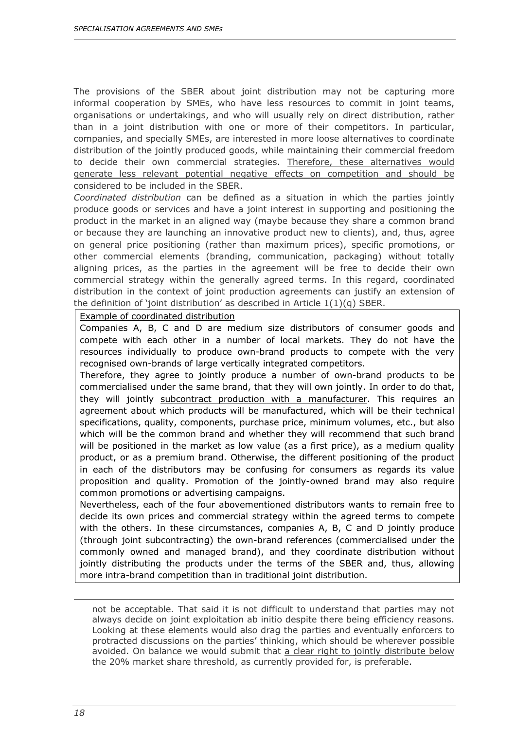The provisions of the SBER about joint distribution may not be capturing more informal cooperation by SMEs, who have less resources to commit in joint teams, organisations or undertakings, and who will usually rely on direct distribution, rather than in a joint distribution with one or more of their competitors. In particular, companies, and specially SMEs, are interested in more loose alternatives to coordinate distribution of the jointly produced goods, while maintaining their commercial freedom to decide their own commercial strategies. Therefore, these alternatives would generate less relevant potential negative effects on competition and should be considered to be included in the SBER.

*Coordinated distribution* can be defined as a situation in which the parties jointly produce goods or services and have a joint interest in supporting and positioning the product in the market in an aligned way (maybe because they share a common brand or because they are launching an innovative product new to clients), and, thus, agree on general price positioning (rather than maximum prices), specific promotions, or other commercial elements (branding, communication, packaging) without totally aligning prices, as the parties in the agreement will be free to decide their own commercial strategy within the generally agreed terms. In this regard, coordinated distribution in the context of joint production agreements can justify an extension of the definition of 'joint distribution' as described in Article  $1(1)(q)$  SBER.

Example of coordinated distribution

Companies A, B, C and D are medium size distributors of consumer goods and compete with each other in a number of local markets. They do not have the resources individually to produce own-brand products to compete with the very recognised own-brands of large vertically integrated competitors.

Therefore, they agree to jointly produce a number of own-brand products to be commercialised under the same brand, that they will own jointly. In order to do that, they will jointly subcontract production with a manufacturer. This requires an agreement about which products will be manufactured, which will be their technical specifications, quality, components, purchase price, minimum volumes, etc., but also which will be the common brand and whether they will recommend that such brand will be positioned in the market as low value (as a first price), as a medium quality product, or as a premium brand. Otherwise, the different positioning of the product in each of the distributors may be confusing for consumers as regards its value proposition and quality. Promotion of the jointly-owned brand may also require common promotions or advertising campaigns.

Nevertheless, each of the four abovementioned distributors wants to remain free to decide its own prices and commercial strategy within the agreed terms to compete with the others. In these circumstances, companies A, B, C and D jointly produce (through joint subcontracting) the own-brand references (commercialised under the commonly owned and managed brand), and they coordinate distribution without jointly distributing the products under the terms of the SBER and, thus, allowing more intra-brand competition than in traditional joint distribution.

not be acceptable. That said it is not difficult to understand that parties may not always decide on joint exploitation ab initio despite there being efficiency reasons. Looking at these elements would also drag the parties and eventually enforcers to protracted discussions on the parties' thinking, which should be wherever possible avoided. On balance we would submit that a clear right to jointly distribute below the 20% market share threshold, as currently provided for, is preferable.

ł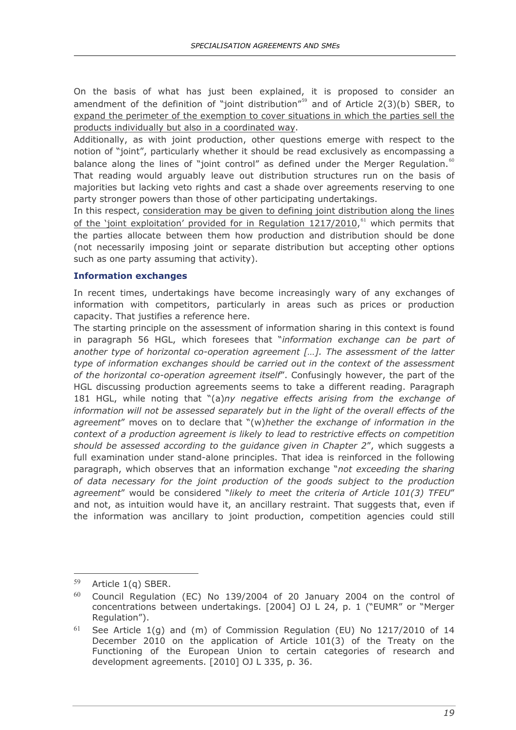On the basis of what has just been explained, it is proposed to consider an amendment of the definition of "joint distribution"<sup>[59](#page-23-1)</sup> and of Article  $2(3)(b)$  SBER, to expand the perimeter of the exemption to cover situations in which the parties sell the products individually but also in a coordinated way.

Additionally, as with joint production, other questions emerge with respect to the notion of "joint", particularly whether it should be read exclusively as encompassing a balance along the lines of "joint control" as defined under the Merger Regulation. $60$ That reading would arguably leave out distribution structures run on the basis of majorities but lacking veto rights and cast a shade over agreements reserving to one party stronger powers than those of other participating undertakings.

In this respect, consideration may be given to defining joint distribution along the lines of the 'joint exploitation' provided for in Regulation 1217/2010,<sup>[61](#page-23-3)</sup> which permits that the parties allocate between them how production and distribution should be done (not necessarily imposing joint or separate distribution but accepting other options such as one party assuming that activity).

#### <span id="page-23-0"></span>**Information exchanges**

In recent times, undertakings have become increasingly wary of any exchanges of information with competitors, particularly in areas such as prices or production capacity. That justifies a reference here.

The starting principle on the assessment of information sharing in this context is found in paragraph 56 HGL, which foresees that "*information exchange can be part of another type of horizontal co-operation agreement […]. The assessment of the latter type of information exchanges should be carried out in the context of the assessment of the horizontal co-operation agreement itself*". Confusingly however, the part of the HGL discussing production agreements seems to take a different reading. Paragraph 181 HGL, while noting that "(a)*ny negative effects arising from the exchange of*  information will not be assessed separately but in the light of the overall effects of the *agreement*" moves on to declare that "(w)*hether the exchange of information in the context of a production agreement is likely to lead to restrictive effects on competition should be assessed according to the guidance given in Chapter 2*", which suggests a full examination under stand-alone principles. That idea is reinforced in the following paragraph, which observes that an information exchange "*not exceeding the sharing of data necessary for the joint production of the goods subject to the production agreement*" would be considered "*likely to meet the criteria of Article 101(3) TFEU*" and not, as intuition would have it, an ancillary restraint. That suggests that, even if the information was ancillary to joint production, competition agencies could still

 $\overline{a}$ 

<span id="page-23-1"></span><sup>59</sup> Article 1(q) SBER.

<span id="page-23-2"></span> $60$  Council Regulation (EC) No 139/2004 of 20 January 2004 on the control of concentrations between undertakings. [2004] OJ L 24, p. 1 ("EUMR" or "Merger Regulation").

<span id="page-23-3"></span> $61$  See Article 1(g) and (m) of Commission Regulation (EU) No 1217/2010 of 14 December 2010 on the application of Article 101(3) of the Treaty on the Functioning of the European Union to certain categories of research and development agreements. [2010] OJ L 335, p. 36.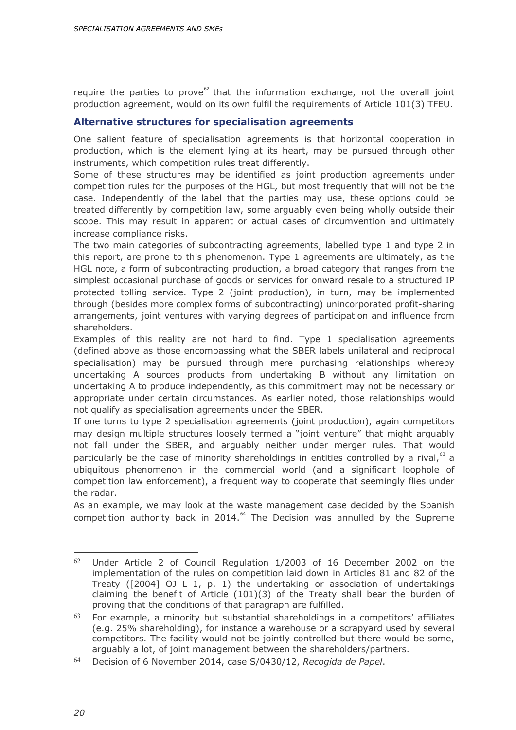require the parties to prove $62$  that the information exchange, not the overall joint production agreement, would on its own fulfil the requirements of Article 101(3) TFEU.

#### <span id="page-24-0"></span>**Alternative structures for specialisation agreements**

One salient feature of specialisation agreements is that horizontal cooperation in production, which is the element lying at its heart, may be pursued through other instruments, which competition rules treat differently.

Some of these structures may be identified as joint production agreements under competition rules for the purposes of the HGL, but most frequently that will not be the case. Independently of the label that the parties may use, these options could be treated differently by competition law, some arguably even being wholly outside their scope. This may result in apparent or actual cases of circumvention and ultimately increase compliance risks.

The two main categories of subcontracting agreements, labelled type 1 and type 2 in this report, are prone to this phenomenon. Type 1 agreements are ultimately, as the HGL note, a form of subcontracting production, a broad category that ranges from the simplest occasional purchase of goods or services for onward resale to a structured IP protected tolling service. Type 2 (joint production), in turn, may be implemented through (besides more complex forms of subcontracting) unincorporated profit-sharing arrangements, joint ventures with varying degrees of participation and influence from shareholders.

Examples of this reality are not hard to find. Type 1 specialisation agreements (defined above as those encompassing what the SBER labels unilateral and reciprocal specialisation) may be pursued through mere purchasing relationships whereby undertaking A sources products from undertaking B without any limitation on undertaking A to produce independently, as this commitment may not be necessary or appropriate under certain circumstances. As earlier noted, those relationships would not qualify as specialisation agreements under the SBER.

If one turns to type 2 specialisation agreements (joint production), again competitors may design multiple structures loosely termed a "joint venture" that might arguably not fall under the SBER, and arguably neither under merger rules. That would particularly be the case of minority shareholdings in entities controlled by a rival, $^{63}$  $^{63}$  $^{63}$  a ubiquitous phenomenon in the commercial world (and a significant loophole of competition law enforcement), a frequent way to cooperate that seemingly flies under the radar.

As an example, we may look at the waste management case decided by the Spanish competition authority back in 2014. $^{64}$  $^{64}$  $^{64}$  The Decision was annulled by the Supreme

<span id="page-24-1"></span><sup>&</sup>lt;sup>62</sup> Under Article 2 of Council Regulation 1/2003 of 16 December 2002 on the implementation of the rules on competition laid down in Articles 81 and 82 of the Treaty ( $[2004]$  OJ L 1, p. 1) the undertaking or association of undertakings claiming the benefit of Article (101)(3) of the Treaty shall bear the burden of proving that the conditions of that paragraph are fulfilled.

<span id="page-24-2"></span> $63$  For example, a minority but substantial shareholdings in a competitors' affiliates (e.g. 25% shareholding), for instance a warehouse or a scrapyard used by several competitors. The facility would not be jointly controlled but there would be some, arguably a lot, of joint management between the shareholders/partners.

<span id="page-24-3"></span><sup>64</sup> Decision of 6 November 2014, case S/0430/12, *Recogida de Papel*.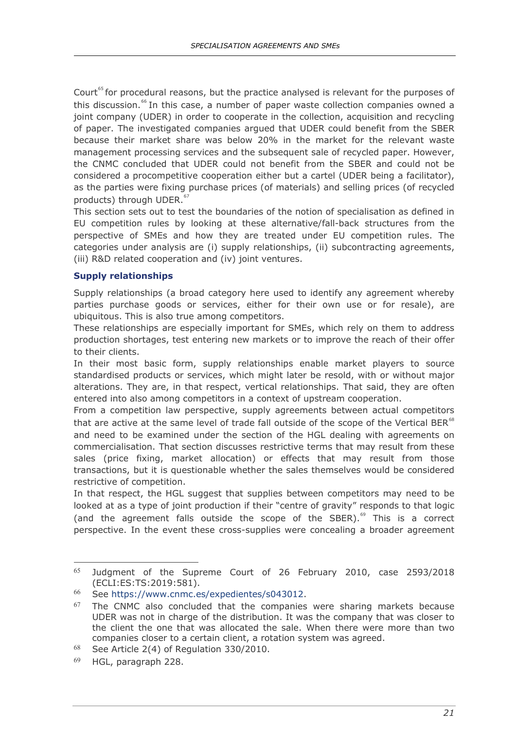Court<sup>[65](#page-25-1)</sup> for procedural reasons, but the practice analysed is relevant for the purposes of this discussion.<sup>[66](#page-25-2)</sup> In this case, a number of paper waste collection companies owned a joint company (UDER) in order to cooperate in the collection, acquisition and recycling of paper. The investigated companies argued that UDER could benefit from the SBER because their market share was below 20% in the market for the relevant waste management processing services and the subsequent sale of recycled paper. However, the CNMC concluded that UDER could not benefit from the SBER and could not be considered a procompetitive cooperation either but a cartel (UDER being a facilitator), as the parties were fixing purchase prices (of materials) and selling prices (of recycled products) through UDER.<sup>[67](#page-25-3)</sup>

This section sets out to test the boundaries of the notion of specialisation as defined in EU competition rules by looking at these alternative/fall-back structures from the perspective of SMEs and how they are treated under EU competition rules. The categories under analysis are (i) supply relationships, (ii) subcontracting agreements, (iii) R&D related cooperation and (iv) joint ventures.

#### <span id="page-25-0"></span>**Supply relationships**

Supply relationships (a broad category here used to identify any agreement whereby parties purchase goods or services, either for their own use or for resale), are ubiquitous. This is also true among competitors.

These relationships are especially important for SMEs, which rely on them to address production shortages, test entering new markets or to improve the reach of their offer to their clients.

In their most basic form, supply relationships enable market players to source standardised products or services, which might later be resold, with or without major alterations. They are, in that respect, vertical relationships. That said, they are often entered into also among competitors in a context of upstream cooperation.

From a competition law perspective, supply agreements between actual competitors that are active at the same level of trade fall outside of the scope of the Vertical BER $^{68}$  $^{68}$  $^{68}$ and need to be examined under the section of the HGL dealing with agreements on commercialisation. That section discusses restrictive terms that may result from these sales (price fixing, market allocation) or effects that may result from those transactions, but it is questionable whether the sales themselves would be considered restrictive of competition.

In that respect, the HGL suggest that supplies between competitors may need to be looked at as a type of joint production if their "centre of gravity" responds to that logic (and the agreement falls outside the scope of the SBER).<sup>[69](#page-25-5)</sup> This is a correct perspective. In the event these cross-supplies were concealing a broader agreement

<span id="page-25-1"></span><sup>-</sup><sup>65</sup> Judgment of the Supreme Court of 26 February 2010, case 2593/2018 (ECLI:ES:TS:2019:581).

<span id="page-25-2"></span><sup>66</sup> See [https://www.cnmc.es/expedientes/s043012.](https://www.cnmc.es/expedientes/s043012)

<span id="page-25-3"></span> $67$  The CNMC also concluded that the companies were sharing markets because UDER was not in charge of the distribution. It was the company that was closer to the client the one that was allocated the sale. When there were more than two companies closer to a certain client, a rotation system was agreed.

<span id="page-25-4"></span> $68$  See Article 2(4) of Regulation 330/2010.

<span id="page-25-5"></span><sup>69</sup> HGL, paragraph 228.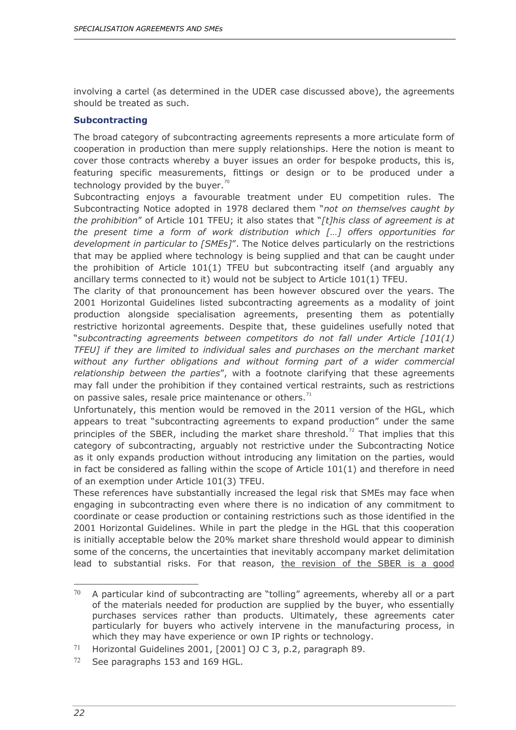involving a cartel (as determined in the UDER case discussed above), the agreements should be treated as such.

#### <span id="page-26-0"></span>**Subcontracting**

The broad category of subcontracting agreements represents a more articulate form of cooperation in production than mere supply relationships. Here the notion is meant to cover those contracts whereby a buyer issues an order for bespoke products, this is, featuring specific measurements, fittings or design or to be produced under a technology provided by the buyer.<sup>[70](#page-26-1)</sup>

Subcontracting enjoys a favourable treatment under EU competition rules. The Subcontracting Notice adopted in 1978 declared them "*not on themselves caught by the prohibition*" of Article 101 TFEU; it also states that "*[t]his class of agreement is at the present time a form of work distribution which […] offers opportunities for development in particular to [SMEs]*". The Notice delves particularly on the restrictions that may be applied where technology is being supplied and that can be caught under the prohibition of Article 101(1) TFEU but subcontracting itself (and arguably any ancillary terms connected to it) would not be subject to Article 101(1) TFEU.

The clarity of that pronouncement has been however obscured over the years. The 2001 Horizontal Guidelines listed subcontracting agreements as a modality of joint production alongside specialisation agreements, presenting them as potentially restrictive horizontal agreements. Despite that, these guidelines usefully noted that "*subcontracting agreements between competitors do not fall under Article [101(1) TFEU] if they are limited to individual sales and purchases on the merchant market without any further obligations and without forming part of a wider commercial relationship between the parties*", with a footnote clarifying that these agreements may fall under the prohibition if they contained vertical restraints, such as restrictions on passive sales, resale price maintenance or others. $71$ 

Unfortunately, this mention would be removed in the 2011 version of the HGL, which appears to treat "subcontracting agreements to expand production" under the same principles of the SBER, including the market share threshold.<sup>[72](#page-26-3)</sup> That implies that this category of subcontracting, arguably not restrictive under the Subcontracting Notice as it only expands production without introducing any limitation on the parties, would in fact be considered as falling within the scope of Article  $101(1)$  and therefore in need of an exemption under Article 101(3) TFEU.

These references have substantially increased the legal risk that SMEs may face when engaging in subcontracting even where there is no indication of any commitment to coordinate or cease production or containing restrictions such as those identified in the 2001 Horizontal Guidelines. While in part the pledge in the HGL that this cooperation is initially acceptable below the 20% market share threshold would appear to diminish some of the concerns, the uncertainties that inevitably accompany market delimitation lead to substantial risks. For that reason, the revision of the SBER is a good

<span id="page-26-1"></span><sup>70</sup> <sup>70</sup> A particular kind of subcontracting are "tolling" agreements, whereby all or a part of the materials needed for production are supplied by the buyer, who essentially purchases services rather than products. Ultimately, these agreements cater particularly for buyers who actively intervene in the manufacturing process, in which they may have experience or own IP rights or technology.

<span id="page-26-2"></span><sup>71</sup> Horizontal Guidelines 2001, [2001] OJ C 3, p.2, paragraph 89.

<span id="page-26-3"></span><sup>72</sup> See paragraphs 153 and 169 HGL.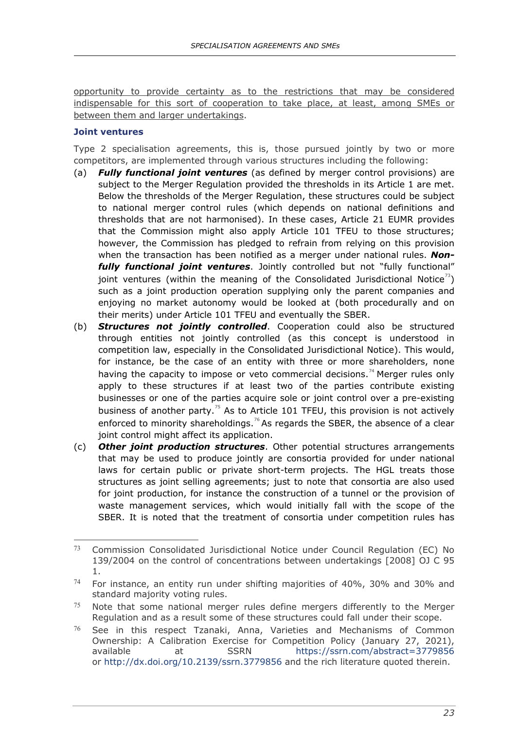opportunity to provide certainty as to the restrictions that may be considered indispensable for this sort of cooperation to take place, at least, among SMEs or between them and larger undertakings.

#### <span id="page-27-0"></span>**Joint ventures**

Type 2 specialisation agreements, this is, those pursued jointly by two or more competitors, are implemented through various structures including the following:

- (a) *Fully functional joint ventures* (as defined by merger control provisions) are subject to the Merger Regulation provided the thresholds in its Article 1 are met. Below the thresholds of the Merger Regulation, these structures could be subject to national merger control rules (which depends on national definitions and thresholds that are not harmonised). In these cases, Article 21 EUMR provides that the Commission might also apply Article 101 TFEU to those structures; however, the Commission has pledged to refrain from relying on this provision when the transaction has been notified as a merger under national rules. *Nonfully functional joint ventures*. Jointly controlled but not "fully functional" joint ventures (within the meaning of the Consolidated Jurisdictional Notice<sup>73</sup>) such as a joint production operation supplying only the parent companies and enjoying no market autonomy would be looked at (both procedurally and on their merits) under Article 101 TFEU and eventually the SBER.
- (b) *Structures not jointly controlled*. Cooperation could also be structured through entities not jointly controlled (as this concept is understood in competition law, especially in the Consolidated Jurisdictional Notice). This would, for instance, be the case of an entity with three or more shareholders, none having the capacity to impose or veto commercial decisions.<sup>[74](#page-27-2)</sup> Merger rules only apply to these structures if at least two of the parties contribute existing businesses or one of the parties acquire sole or joint control over a pre-existing business of another party.<sup>[75](#page-27-3)</sup> As to Article 101 TFEU, this provision is not actively enforced to minority shareholdings.<sup>[76](#page-27-4)</sup> As regards the SBER, the absence of a clear joint control might affect its application.
- (c) *Other joint production structures*. Other potential structures arrangements that may be used to produce jointly are consortia provided for under national laws for certain public or private short-term projects. The HGL treats those structures as joint selling agreements; just to note that consortia are also used for joint production, for instance the construction of a tunnel or the provision of waste management services, which would initially fall with the scope of the SBER. It is noted that the treatment of consortia under competition rules has

<span id="page-27-1"></span><sup>-</sup> $73$  Commission Consolidated Jurisdictional Notice under Council Regulation (EC) No 139/2004 on the control of concentrations between undertakings [2008] OJ C 95 1.

<span id="page-27-2"></span> $74$  For instance, an entity run under shifting majorities of 40%, 30% and 30% and standard majority voting rules.

<span id="page-27-3"></span> $75$  Note that some national merger rules define mergers differently to the Merger Regulation and as a result some of these structures could fall under their scope.

<span id="page-27-4"></span><sup>76</sup> See in this respect Tzanaki, Anna, Varieties and Mechanisms of Common Ownership: A Calibration Exercise for Competition Policy (January 27, 2021), available at SSRN <https://ssrn.com/abstract=3779856> or <http://dx.doi.org/10.2139/ssrn.3779856> and the rich literature quoted therein.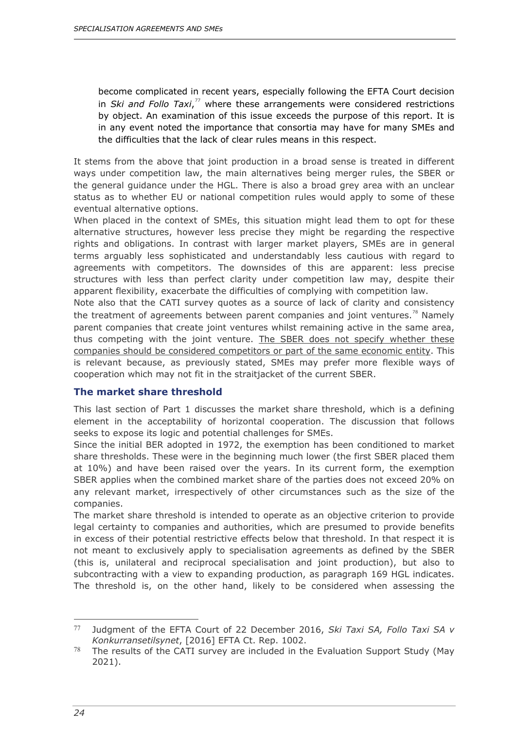become complicated in recent years, especially following the EFTA Court decision in *Ski and Follo Taxi*, [77](#page-28-1) where these arrangements were considered restrictions by object. An examination of this issue exceeds the purpose of this report. It is in any event noted the importance that consortia may have for many SMEs and the difficulties that the lack of clear rules means in this respect.

It stems from the above that joint production in a broad sense is treated in different ways under competition law, the main alternatives being merger rules, the SBER or the general guidance under the HGL. There is also a broad grey area with an unclear status as to whether EU or national competition rules would apply to some of these eventual alternative options.

When placed in the context of SMEs, this situation might lead them to opt for these alternative structures, however less precise they might be regarding the respective rights and obligations. In contrast with larger market players, SMEs are in general terms arguably less sophisticated and understandably less cautious with regard to agreements with competitors. The downsides of this are apparent: less precise structures with less than perfect clarity under competition law may, despite their apparent flexibility, exacerbate the difficulties of complying with competition law.

Note also that the CATI survey quotes as a source of lack of clarity and consistency the treatment of agreements between parent companies and joint ventures.<sup>[78](#page-28-2)</sup> Namely parent companies that create joint ventures whilst remaining active in the same area, thus competing with the joint venture. The SBER does not specify whether these companies should be considered competitors or part of the same economic entity. This is relevant because, as previously stated, SMEs may prefer more flexible ways of cooperation which may not fit in the straitjacket of the current SBER.

#### <span id="page-28-0"></span>**The market share threshold**

This last section of Part 1 discusses the market share threshold, which is a defining element in the acceptability of horizontal cooperation. The discussion that follows seeks to expose its logic and potential challenges for SMEs.

Since the initial BER adopted in 1972, the exemption has been conditioned to market share thresholds. These were in the beginning much lower (the first SBER placed them at 10%) and have been raised over the years. In its current form, the exemption SBER applies when the combined market share of the parties does not exceed 20% on any relevant market, irrespectively of other circumstances such as the size of the companies.

The market share threshold is intended to operate as an objective criterion to provide legal certainty to companies and authorities, which are presumed to provide benefits in excess of their potential restrictive effects below that threshold. In that respect it is not meant to exclusively apply to specialisation agreements as defined by the SBER (this is, unilateral and reciprocal specialisation and joint production), but also to subcontracting with a view to expanding production, as paragraph 169 HGL indicates. The threshold is, on the other hand, likely to be considered when assessing the

<span id="page-28-1"></span><sup>77</sup> Judgment of the EFTA Court of 22 December 2016, *Ski Taxi SA, Follo Taxi SA v Konkurransetilsynet*, [2016] EFTA Ct. Rep. 1002.

<span id="page-28-2"></span> $78$  The results of the CATI survey are included in the Evaluation Support Study (May 2021).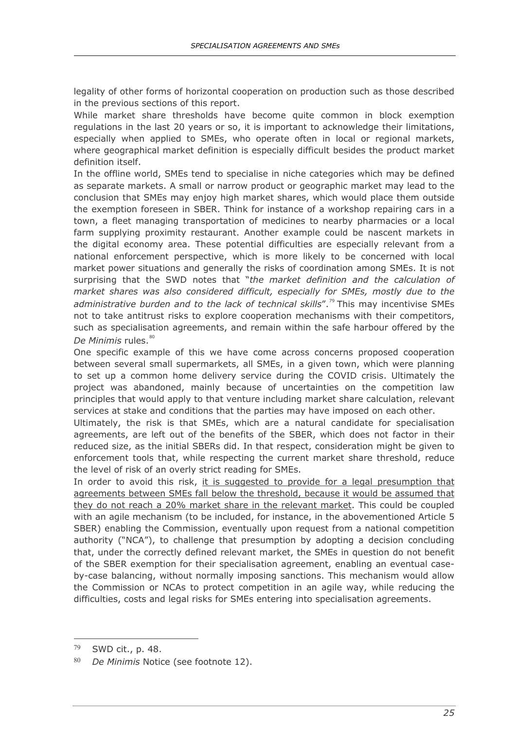legality of other forms of horizontal cooperation on production such as those described in the previous sections of this report.

While market share thresholds have become quite common in block exemption regulations in the last 20 years or so, it is important to acknowledge their limitations, especially when applied to SMEs, who operate often in local or regional markets, where geographical market definition is especially difficult besides the product market definition itself.

In the offline world, SMEs tend to specialise in niche categories which may be defined as separate markets. A small or narrow product or geographic market may lead to the conclusion that SMEs may enjoy high market shares, which would place them outside the exemption foreseen in SBER. Think for instance of a workshop repairing cars in a town, a fleet managing transportation of medicines to nearby pharmacies or a local farm supplying proximity restaurant. Another example could be nascent markets in the digital economy area. These potential difficulties are especially relevant from a national enforcement perspective, which is more likely to be concerned with local market power situations and generally the risks of coordination among SMEs. It is not surprising that the SWD notes that "*the market definition and the calculation of*  market shares was also considered difficult, especially for SMEs, mostly due to the administrative burden and to the lack of technical skills".<sup>[79](#page-29-0)</sup> This may incentivise SMEs not to take antitrust risks to explore cooperation mechanisms with their competitors, such as specialisation agreements, and remain within the safe harbour offered by the *De Minimis* rules.<sup>[80](#page-29-1)</sup>

One specific example of this we have come across concerns proposed cooperation between several small supermarkets, all SMEs, in a given town, which were planning to set up a common home delivery service during the COVID crisis. Ultimately the project was abandoned, mainly because of uncertainties on the competition law principles that would apply to that venture including market share calculation, relevant services at stake and conditions that the parties may have imposed on each other.

Ultimately, the risk is that SMEs, which are a natural candidate for specialisation agreements, are left out of the benefits of the SBER, which does not factor in their reduced size, as the initial SBERs did. In that respect, consideration might be given to enforcement tools that, while respecting the current market share threshold, reduce the level of risk of an overly strict reading for SMEs.

In order to avoid this risk, it is suggested to provide for a legal presumption that agreements between SMEs fall below the threshold, because it would be assumed that they do not reach a 20% market share in the relevant market. This could be coupled with an agile mechanism (to be included, for instance, in the abovementioned Article 5 SBER) enabling the Commission, eventually upon request from a national competition authority ("NCA"), to challenge that presumption by adopting a decision concluding that, under the correctly defined relevant market, the SMEs in question do not benefit of the SBER exemption for their specialisation agreement, enabling an eventual caseby-case balancing, without normally imposing sanctions. This mechanism would allow the Commission or NCAs to protect competition in an agile way, while reducing the difficulties, costs and legal risks for SMEs entering into specialisation agreements.

<span id="page-29-0"></span><sup>79</sup> SWD cit., p. 48.

<span id="page-29-1"></span><sup>80</sup> *De Minimis* Notice (see footnote 12).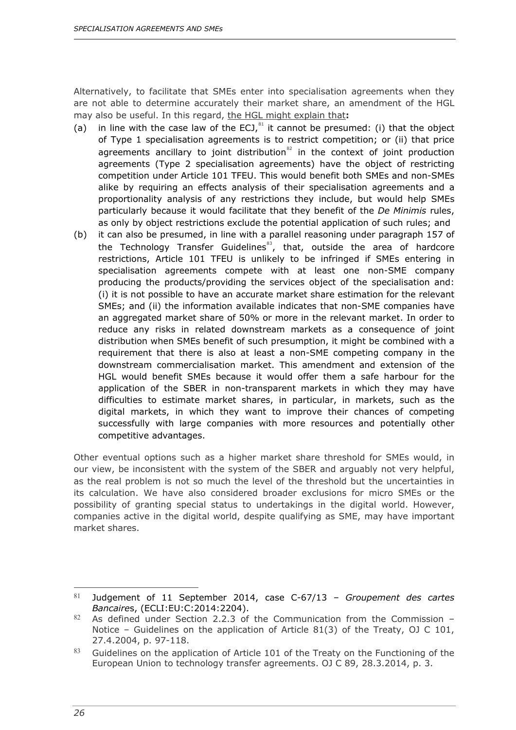Alternatively, to facilitate that SMEs enter into specialisation agreements when they are not able to determine accurately their market share, an amendment of the HGL may also be useful. In this regard, the HGL might explain that**:**

- (a) in line with the case law of the ECJ, $^{81}$  $^{81}$  $^{81}$  it cannot be presumed: (i) that the object of Type 1 specialisation agreements is to restrict competition; or (ii) that price agreements ancillary to joint distribution $^{82}$  $^{82}$  $^{82}$  in the context of joint production agreements (Type 2 specialisation agreements) have the object of restricting competition under Article 101 TFEU. This would benefit both SMEs and non-SMEs alike by requiring an effects analysis of their specialisation agreements and a proportionality analysis of any restrictions they include, but would help SMEs particularly because it would facilitate that they benefit of the *De Minimis* rules, as only by object restrictions exclude the potential application of such rules; and
- (b) it can also be presumed, in line with a parallel reasoning under paragraph 157 of the Technology Transfer Guidelines $^{83}$  $^{83}$  $^{83}$ , that, outside the area of hardcore restrictions, Article 101 TFEU is unlikely to be infringed if SMEs entering in specialisation agreements compete with at least one non-SME company producing the products/providing the services object of the specialisation and: (i) it is not possible to have an accurate market share estimation for the relevant SMEs; and (ii) the information available indicates that non-SME companies have an aggregated market share of 50% or more in the relevant market. In order to reduce any risks in related downstream markets as a consequence of joint distribution when SMEs benefit of such presumption, it might be combined with a requirement that there is also at least a non-SME competing company in the downstream commercialisation market. This amendment and extension of the HGL would benefit SMEs because it would offer them a safe harbour for the application of the SBER in non-transparent markets in which they may have difficulties to estimate market shares, in particular, in markets, such as the digital markets, in which they want to improve their chances of competing successfully with large companies with more resources and potentially other competitive advantages.

Other eventual options such as a higher market share threshold for SMEs would, in our view, be inconsistent with the system of the SBER and arguably not very helpful, as the real problem is not so much the level of the threshold but the uncertainties in its calculation. We have also considered broader exclusions for micro SMEs or the possibility of granting special status to undertakings in the digital world. However, companies active in the digital world, despite qualifying as SME, may have important market shares.

 $\overline{a}$ 

<span id="page-30-0"></span><sup>81</sup> Judgement of 11 September 2014, case C-67/13 – *Groupement des cartes Bancaire*s, (ECLI:EU:C:2014:2204).

<span id="page-30-1"></span> $82$  As defined under Section 2.2.3 of the Communication from the Commission – Notice – Guidelines on the application of Article 81(3) of the Treaty, OJ C 101, 27.4.2004, p. 97-118.

<span id="page-30-2"></span><sup>83</sup> Guidelines on the application of Article 101 of the Treaty on the Functioning of the European Union to technology transfer agreements. OJ C 89, 28.3.2014, p. 3.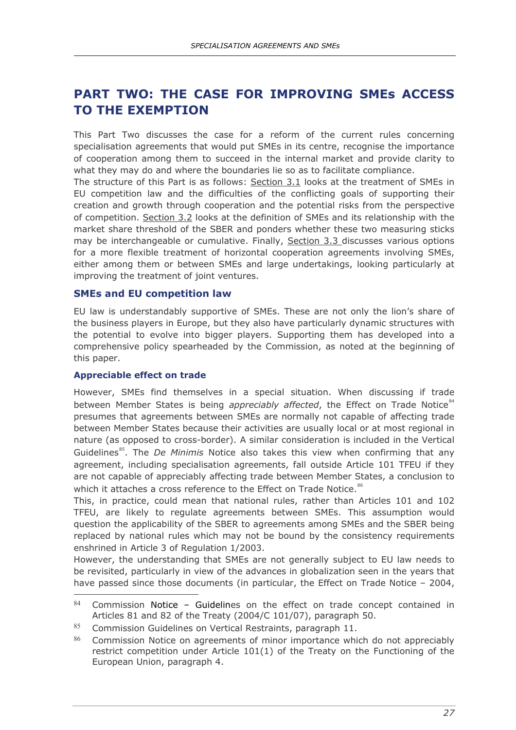# <span id="page-31-0"></span>**PART TWO: THE CASE FOR IMPROVING SMEs ACCESS TO THE EXEMPTION**

This Part Two discusses the case for a reform of the current rules concerning specialisation agreements that would put SMEs in its centre, recognise the importance of cooperation among them to succeed in the internal market and provide clarity to what they may do and where the boundaries lie so as to facilitate compliance.

The structure of this Part is as follows: Section 3.1 looks at the treatment of SMEs in EU competition law and the difficulties of the conflicting goals of supporting their creation and growth through cooperation and the potential risks from the perspective of competition. Section 3.2 looks at the definition of SMEs and its relationship with the market share threshold of the SBER and ponders whether these two measuring sticks may be interchangeable or cumulative. Finally, Section 3.3 discusses various options for a more flexible treatment of horizontal cooperation agreements involving SMEs, either among them or between SMEs and large undertakings, looking particularly at improving the treatment of joint ventures.

#### <span id="page-31-1"></span>**SMEs and EU competition law**

EU law is understandably supportive of SMEs. These are not only the lion's share of the business players in Europe, but they also have particularly dynamic structures with the potential to evolve into bigger players. Supporting them has developed into a comprehensive policy spearheaded by the Commission, as noted at the beginning of this paper.

#### <span id="page-31-2"></span>**Appreciable effect on trade**

-

However, SMEs find themselves in a special situation. When discussing if trade between Member States is being *appreciably affected*, the Effect on Trade Notice<sup>[84](#page-31-3)</sup> presumes that agreements between SMEs are normally not capable of affecting trade between Member States because their activities are usually local or at most regional in nature (as opposed to cross-border). A similar consideration is included in the Vertical Guidelines<sup>85</sup>. The *De Minimis* Notice also takes this view when confirming that any agreement, including specialisation agreements, fall outside Article 101 TFEU if they are not capable of appreciably affecting trade between Member States, a conclusion to which it attaches a cross reference to the Effect on Trade Notice.<sup>[86](#page-31-5)</sup>

This, in practice, could mean that national rules, rather than Articles 101 and 102 TFEU, are likely to regulate agreements between SMEs. This assumption would question the applicability of the SBER to agreements among SMEs and the SBER being replaced by national rules which may not be bound by the consistency requirements enshrined in Article 3 of Regulation 1/2003.

However, the understanding that SMEs are not generally subject to EU law needs to be revisited, particularly in view of the advances in globalization seen in the years that have passed since those documents (in particular, the Effect on Trade Notice - 2004,

<span id="page-31-3"></span> $84$  Commission Notice – Guidelines on the effect on trade concept contained in Articles 81 and 82 of the Treaty (2004/C 101/07), paragraph 50.

<span id="page-31-4"></span><sup>85</sup> Commission Guidelines on Vertical Restraints, paragraph 11.

<span id="page-31-5"></span><sup>86</sup> Commission Notice on agreements of minor importance which do not appreciably restrict competition under Article 101(1) of the Treaty on the Functioning of the European Union, paragraph 4.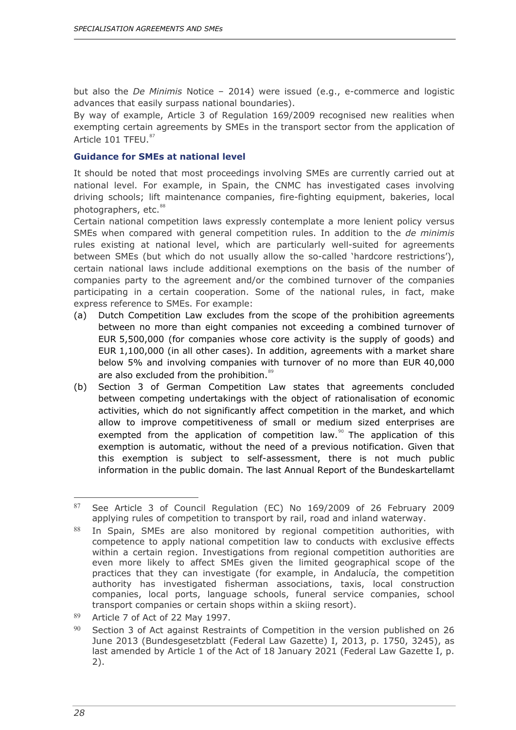but also the *De Minimis* Notice – 2014) were issued (e.g., e-commerce and logistic advances that easily surpass national boundaries).

By way of example, Article 3 of Regulation 169/2009 recognised new realities when exempting certain agreements by SMEs in the transport sector from the application of Article 101 TFEU.<sup>[87](#page-32-1)</sup>

#### <span id="page-32-0"></span>**Guidance for SMEs at national level**

It should be noted that most proceedings involving SMEs are currently carried out at national level. For example, in Spain, the CNMC has investigated cases involving driving schools; lift maintenance companies, fire-fighting equipment, bakeries, local photographers, etc.<sup>[88](#page-32-2)</sup>

Certain national competition laws expressly contemplate a more lenient policy versus SMEs when compared with general competition rules. In addition to the *de minimis*  rules existing at national level, which are particularly well-suited for agreements between SMEs (but which do not usually allow the so-called 'hardcore restrictions'), certain national laws include additional exemptions on the basis of the number of companies party to the agreement and/or the combined turnover of the companies participating in a certain cooperation. Some of the national rules, in fact, make express reference to SMEs. For example:

- (a) Dutch Competition Law excludes from the scope of the prohibition agreements between no more than eight companies not exceeding a combined turnover of EUR 5,500,000 (for companies whose core activity is the supply of goods) and EUR 1,100,000 (in all other cases). In addition, agreements with a market share below 5% and involving companies with turnover of no more than EUR 40,000 are also excluded from the prohibition.<sup>[89](#page-32-3)</sup>
- (b) Section 3 of German Competition Law states that agreements concluded between competing undertakings with the object of rationalisation of economic activities, which do not significantly affect competition in the market, and which allow to improve competitiveness of small or medium sized enterprises are exempted from the application of competition law.<sup>[90](#page-32-4)</sup> The application of this exemption is automatic, without the need of a previous notification. Given that this exemption is subject to self-assessment, there is not much public information in the public domain. The last Annual Report of the Bundeskartellamt

<span id="page-32-1"></span><sup>87</sup> See Article 3 of Council Regulation (EC) No 169/2009 of 26 February 2009 applying rules of competition to transport by rail, road and inland waterway.

<span id="page-32-2"></span><sup>88</sup> In Spain, SMEs are also monitored by regional competition authorities, with competence to apply national competition law to conducts with exclusive effects within a certain region. Investigations from regional competition authorities are even more likely to affect SMEs given the limited geographical scope of the practices that they can investigate (for example, in Andalucía, the competition authority has investigated fisherman associations, taxis, local construction companies, local ports, language schools, funeral service companies, school transport companies or certain shops within a skiing resort).

<span id="page-32-3"></span><sup>89</sup> Article 7 of Act of 22 May 1997.

<span id="page-32-4"></span> $90$  Section 3 of Act against Restraints of Competition in the version published on 26 June 2013 (Bundesgesetzblatt (Federal Law Gazette) I, 2013, p. 1750, 3245), as last amended by Article 1 of the Act of 18 January 2021 (Federal Law Gazette I, p. 2).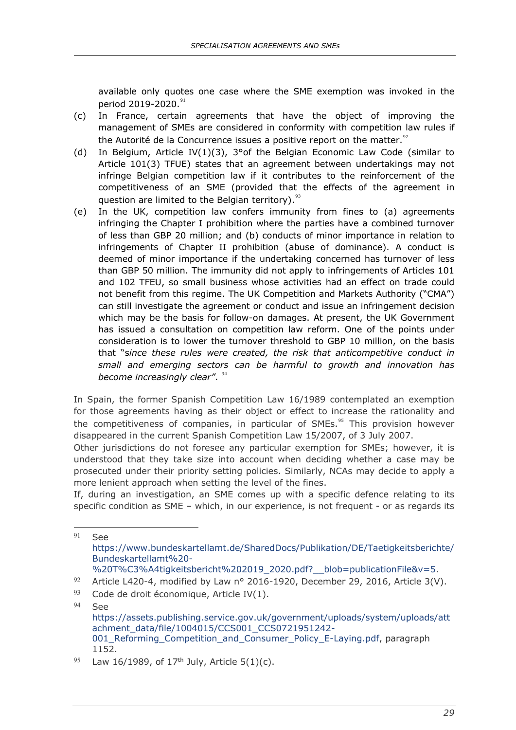available only quotes one case where the SME exemption was invoked in the period 2019-2020.<sup>[91](#page-33-0)</sup>

- (c) In France, certain agreements that have the object of improving the management of SMEs are considered in conformity with competition law rules if the Autorité de la Concurrence issues a positive report on the matter. $92$
- (d) In Belgium, Article IV(1)(3), 3°of the Belgian Economic Law Code (similar to Article 101(3) TFUE) states that an agreement between undertakings may not infringe Belgian competition law if it contributes to the reinforcement of the competitiveness of an SME (provided that the effects of the agreement in question are limited to the Belgian territory). $^{93}$  $^{93}$  $^{93}$
- (e) In the UK, competition law confers immunity from fines to (a) agreements infringing the Chapter I prohibition where the parties have a combined turnover of less than GBP 20 million; and (b) conducts of minor importance in relation to infringements of Chapter II prohibition (abuse of dominance). A conduct is deemed of minor importance if the undertaking concerned has turnover of less than GBP 50 million. The immunity did not apply to infringements of Articles 101 and 102 TFEU, so small business whose activities had an effect on trade could not benefit from this regime. The UK Competition and Markets Authority ("CMA") can still investigate the agreement or conduct and issue an infringement decision which may be the basis for follow-on damages. At present, the UK Government has issued a consultation on competition law reform. One of the points under consideration is to lower the turnover threshold to GBP 10 million, on the basis that "s*ince these rules were created, the risk that anticompetitive conduct in small and emerging sectors can be harmful to growth and innovation has become increasingly clear".* <sup>[94](#page-33-3)</sup>

In Spain, the former Spanish Competition Law 16/1989 contemplated an exemption for those agreements having as their object or effect to increase the rationality and the competitiveness of companies, in particular of SMEs. $95$  This provision however disappeared in the current Spanish Competition Law 15/2007, of 3 July 2007.

Other jurisdictions do not foresee any particular exemption for SMEs; however, it is understood that they take size into account when deciding whether a case may be prosecuted under their priority setting policies. Similarly, NCAs may decide to apply a more lenient approach when setting the level of the fines.

If, during an investigation, an SME comes up with a specific defence relating to its specific condition as SME - which, in our experience, is not frequent - or as regards its

<span id="page-33-2"></span><sup>93</sup> Code de droit économique, Article IV(1).

<span id="page-33-0"></span><sup>91</sup> See [https://www.bundeskartellamt.de/SharedDocs/Publikation/DE/Taetigkeitsberichte/](https://www.bundeskartellamt.de/SharedDocs/Publikation/DE/Taetigkeitsberichte/Bundeskartellamt%20-%20T%C3%A4tigkeitsbericht%202019_2020.pdf?__blob=publicationFile&v=5) [Bundeskartellamt%20-](https://www.bundeskartellamt.de/SharedDocs/Publikation/DE/Taetigkeitsberichte/Bundeskartellamt%20-%20T%C3%A4tigkeitsbericht%202019_2020.pdf?__blob=publicationFile&v=5)

[<sup>%20</sup>T%C3%A4tigkeitsbericht%202019\\_2020.pdf?\\_\\_blob=publicationFile&v=5.](https://www.bundeskartellamt.de/SharedDocs/Publikation/DE/Taetigkeitsberichte/Bundeskartellamt%20-%20T%C3%A4tigkeitsbericht%202019_2020.pdf?__blob=publicationFile&v=5)

<span id="page-33-1"></span><sup>92</sup> Article L420-4, modified by Law n° 2016-1920, December 29, 2016, Article 3(V).

<span id="page-33-3"></span><sup>94</sup> See [https://assets.publishing.service.gov.uk/government/uploads/system/uploads/att](https://assets.publishing.service.gov.uk/government/uploads/system/uploads/attachment_data/file/1004015/CCS001_CCS0721951242-001_Reforming_Competition_and_Consumer_Policy_E-Laying.pdf) [achment\\_data/file/1004015/CCS001\\_CCS0721951242-](https://assets.publishing.service.gov.uk/government/uploads/system/uploads/attachment_data/file/1004015/CCS001_CCS0721951242-001_Reforming_Competition_and_Consumer_Policy_E-Laying.pdf) [001\\_Reforming\\_Competition\\_and\\_Consumer\\_Policy\\_E-Laying.pdf,](https://assets.publishing.service.gov.uk/government/uploads/system/uploads/attachment_data/file/1004015/CCS001_CCS0721951242-001_Reforming_Competition_and_Consumer_Policy_E-Laying.pdf) paragraph 1152.

<span id="page-33-4"></span><sup>95</sup> Law 16/1989, of 17<sup>th</sup> July, Article 5(1)(c).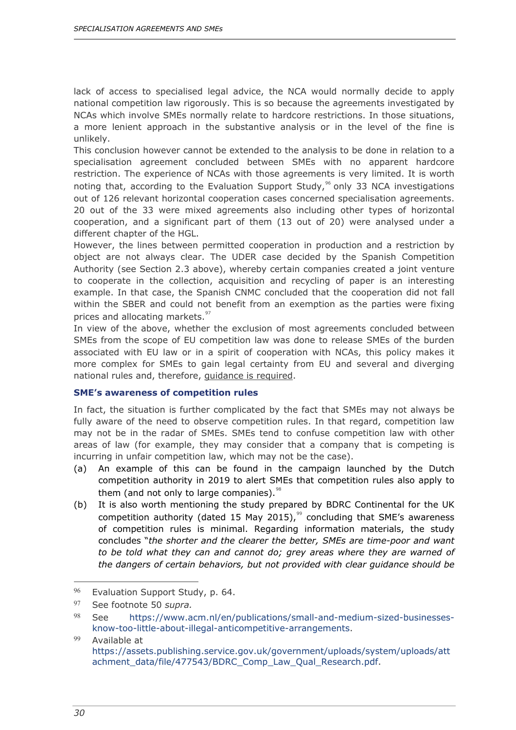lack of access to specialised legal advice, the NCA would normally decide to apply national competition law rigorously. This is so because the agreements investigated by NCAs which involve SMEs normally relate to hardcore restrictions. In those situations, a more lenient approach in the substantive analysis or in the level of the fine is unlikely.

This conclusion however cannot be extended to the analysis to be done in relation to a specialisation agreement concluded between SMEs with no apparent hardcore restriction. The experience of NCAs with those agreements is very limited. It is worth noting that, according to the Evaluation Support Study,<sup>[96](#page-34-1)</sup> only 33 NCA investigations out of 126 relevant horizontal cooperation cases concerned specialisation agreements. 20 out of the 33 were mixed agreements also including other types of horizontal cooperation, and a significant part of them (13 out of 20) were analysed under a different chapter of the HGL.

However, the lines between permitted cooperation in production and a restriction by object are not always clear. The UDER case decided by the Spanish Competition Authority (see Section 2.3 above), whereby certain companies created a joint venture to cooperate in the collection, acquisition and recycling of paper is an interesting example. In that case, the Spanish CNMC concluded that the cooperation did not fall within the SBER and could not benefit from an exemption as the parties were fixing prices and allocating markets.<sup>[97](#page-34-2)</sup>

In view of the above, whether the exclusion of most agreements concluded between SMEs from the scope of EU competition law was done to release SMEs of the burden associated with EU law or in a spirit of cooperation with NCAs, this policy makes it more complex for SMEs to gain legal certainty from EU and several and diverging national rules and, therefore, guidance is required.

#### <span id="page-34-0"></span>**SME's awareness of competition rules**

In fact, the situation is further complicated by the fact that SMEs may not always be fully aware of the need to observe competition rules. In that regard, competition law may not be in the radar of SMEs. SMEs tend to confuse competition law with other areas of law (for example, they may consider that a company that is competing is incurring in unfair competition law, which may not be the case).

- (a) An example of this can be found in the campaign launched by the Dutch competition authority in 2019 to alert SMEs that competition rules also apply to them (and not only to large companies). $98$
- (b) It is also worth mentioning the study prepared by BDRC Continental for the UK competition authority (dated 15 May 2015),  $99$  concluding that SME's awareness of competition rules is minimal. Regarding information materials, the study concludes "*the shorter and the clearer the better, SMEs are time-poor and want to be told what they can and cannot do; grey areas where they are warned of the dangers of certain behaviors, but not provided with clear guidance should be*

<span id="page-34-1"></span><sup>96</sup> Evaluation Support Study, p. 64.

<span id="page-34-2"></span><sup>97</sup> See footnote 50 *supra.*

<span id="page-34-3"></span><sup>98</sup> See [https://www.acm.nl/en/publications/small-and-medium-sized-businesses](https://www.acm.nl/en/publications/small-and-medium-sized-businesses-know-too-little-about-illegal-anticompetitive-arrangements)[know-too-little-about-illegal-anticompetitive-arrangements.](https://www.acm.nl/en/publications/small-and-medium-sized-businesses-know-too-little-about-illegal-anticompetitive-arrangements)

<span id="page-34-4"></span><sup>99</sup> Available at [https://assets.publishing.service.gov.uk/government/uploads/system/uploads/att](https://assets.publishing.service.gov.uk/government/uploads/system/uploads/attachment_data/file/477543/BDRC_Comp_Law_Qual_Research.pdf) [achment\\_data/file/477543/BDRC\\_Comp\\_Law\\_Qual\\_Research.pdf.](https://assets.publishing.service.gov.uk/government/uploads/system/uploads/attachment_data/file/477543/BDRC_Comp_Law_Qual_Research.pdf)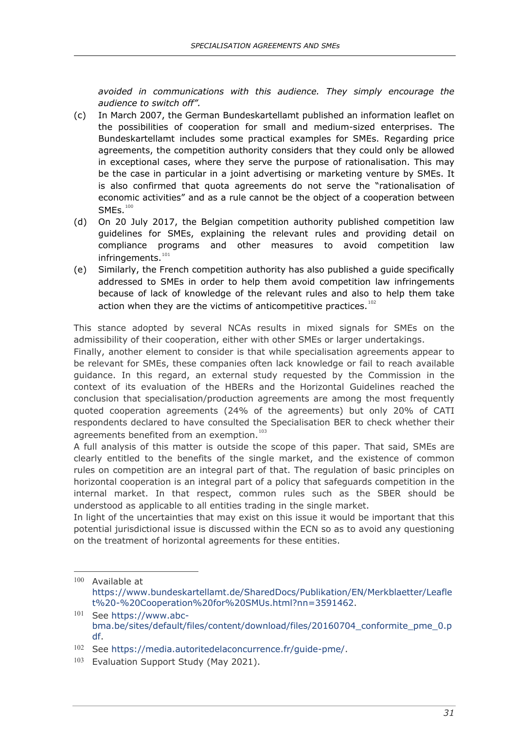*avoided in communications with this audience. They simply encourage the audience to switch off".* 

- (c) In March 2007, the German Bundeskartellamt published an information leaflet on the possibilities of cooperation for small and medium-sized enterprises. The Bundeskartellamt includes some practical examples for SMEs. Regarding price agreements, the competition authority considers that they could only be allowed in exceptional cases, where they serve the purpose of rationalisation. This may be the case in particular in a joint advertising or marketing venture by SMEs. It is also confirmed that quota agreements do not serve the "rationalisation of economic activities" and as a rule cannot be the object of a cooperation between  $SMES.<sup>100</sup>$  $SMES.<sup>100</sup>$  $SMES.<sup>100</sup>$
- (d) On 20 July 2017, the Belgian competition authority published competition law guidelines for SMEs, explaining the relevant rules and providing detail on compliance programs and other measures to avoid competition law infringements.<sup>[101](#page-35-1)</sup>
- (e) Similarly, the French competition authority has also published a guide specifically addressed to SMEs in order to help them avoid competition law infringements because of lack of knowledge of the relevant rules and also to help them take action when they are the victims of anticompetitive practices. $102$

This stance adopted by several NCAs results in mixed signals for SMEs on the admissibility of their cooperation, either with other SMEs or larger undertakings.

Finally, another element to consider is that while specialisation agreements appear to be relevant for SMEs, these companies often lack knowledge or fail to reach available guidance. In this regard, an external study requested by the Commission in the context of its evaluation of the HBERs and the Horizontal Guidelines reached the conclusion that specialisation/production agreements are among the most frequently quoted cooperation agreements (24% of the agreements) but only 20% of CATI respondents declared to have consulted the Specialisation BER to check whether their agreements benefited from an exemption.<sup>[103](#page-35-3)</sup>

A full analysis of this matter is outside the scope of this paper. That said, SMEs are clearly entitled to the benefits of the single market, and the existence of common rules on competition are an integral part of that. The regulation of basic principles on horizontal cooperation is an integral part of a policy that safeguards competition in the internal market. In that respect, common rules such as the SBER should be understood as applicable to all entities trading in the single market.

In light of the uncertainties that may exist on this issue it would be important that this potential jurisdictional issue is discussed within the ECN so as to avoid any questioning on the treatment of horizontal agreements for these entities.

<span id="page-35-0"></span><sup>100</sup> Available at [https://www.bundeskartellamt.de/SharedDocs/Publikation/EN/Merkblaetter/Leafle](https://www.bundeskartellamt.de/SharedDocs/Publikation/EN/Merkblaetter/Leaflet%20-%20Cooperation%20for%20SMUs.html?nn=3591462) [t%20-%20Cooperation%20for%20SMUs.html?nn=3591462.](https://www.bundeskartellamt.de/SharedDocs/Publikation/EN/Merkblaetter/Leaflet%20-%20Cooperation%20for%20SMUs.html?nn=3591462)

<span id="page-35-1"></span><sup>101</sup> See [https://www.abc](https://www.abc-bma.be/sites/default/files/content/download/files/20160704_conformite_pme_0.pdf)[bma.be/sites/default/files/content/download/files/20160704\\_conformite\\_pme\\_0.p](https://www.abc-bma.be/sites/default/files/content/download/files/20160704_conformite_pme_0.pdf) [df.](https://www.abc-bma.be/sites/default/files/content/download/files/20160704_conformite_pme_0.pdf)

<span id="page-35-2"></span><sup>102</sup> See [https://media.autoritedelaconcurrence.fr/guide-pme/.](https://media.autoritedelaconcurrence.fr/guide-pme/)

<span id="page-35-3"></span><sup>103</sup> Evaluation Support Study (May 2021).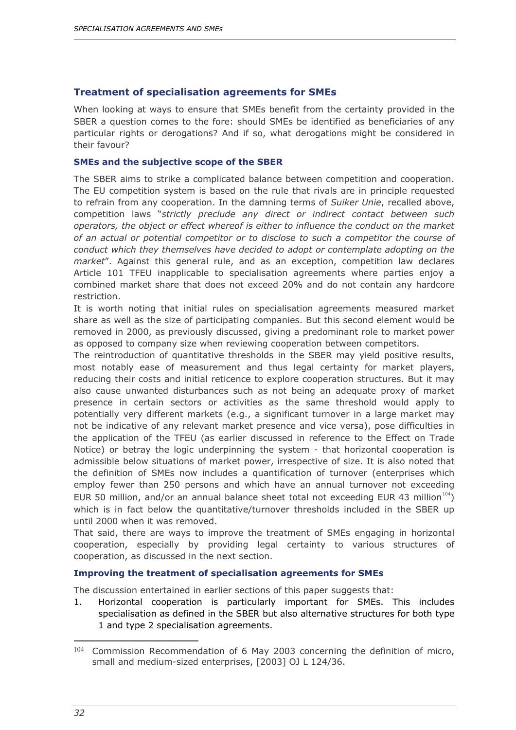#### <span id="page-36-0"></span>**Treatment of specialisation agreements for SMEs**

When looking at ways to ensure that SMEs benefit from the certainty provided in the SBER a question comes to the fore: should SMEs be identified as beneficiaries of any particular rights or derogations? And if so, what derogations might be considered in their favour?

#### <span id="page-36-1"></span>**SMEs and the subjective scope of the SBER**

The SBER aims to strike a complicated balance between competition and cooperation. The EU competition system is based on the rule that rivals are in principle requested to refrain from any cooperation. In the damning terms of *Suiker Unie*, recalled above, competition laws "*strictly preclude any direct or indirect contact between such operators, the object or effect whereof is either to influence the conduct on the market of an actual or potential competitor or to disclose to such a competitor the course of conduct which they themselves have decided to adopt or contemplate adopting on the market*". Against this general rule, and as an exception, competition law declares Article 101 TFEU inapplicable to specialisation agreements where parties enjoy a combined market share that does not exceed 20% and do not contain any hardcore restriction.

It is worth noting that initial rules on specialisation agreements measured market share as well as the size of participating companies. But this second element would be removed in 2000, as previously discussed, giving a predominant role to market power as opposed to company size when reviewing cooperation between competitors.

The reintroduction of quantitative thresholds in the SBER may yield positive results, most notably ease of measurement and thus legal certainty for market players, reducing their costs and initial reticence to explore cooperation structures. But it may also cause unwanted disturbances such as not being an adequate proxy of market presence in certain sectors or activities as the same threshold would apply to potentially very different markets (e.g., a significant turnover in a large market may not be indicative of any relevant market presence and vice versa), pose difficulties in the application of the TFEU (as earlier discussed in reference to the Effect on Trade Notice) or betray the logic underpinning the system - that horizontal cooperation is admissible below situations of market power, irrespective of size. It is also noted that the definition of SMEs now includes a quantification of turnover (enterprises which employ fewer than 250 persons and which have an annual turnover not exceeding EUR 50 million, and/or an annual balance sheet total not exceeding EUR 43 million<sup>104</sup>) which is in fact below the quantitative/turnover thresholds included in the SBER up until 2000 when it was removed.

That said, there are ways to improve the treatment of SMEs engaging in horizontal cooperation, especially by providing legal certainty to various structures of cooperation, as discussed in the next section.

#### <span id="page-36-2"></span>**Improving the treatment of specialisation agreements for SMEs**

The discussion entertained in earlier sections of this paper suggests that:

1. Horizontal cooperation is particularly important for SMEs. This includes specialisation as defined in the SBER but also alternative structures for both type 1 and type 2 specialisation agreements.

<span id="page-36-3"></span><sup>104</sup> Commission Recommendation of 6 May 2003 concerning the definition of micro, small and medium-sized enterprises, [2003] OJ L 124/36.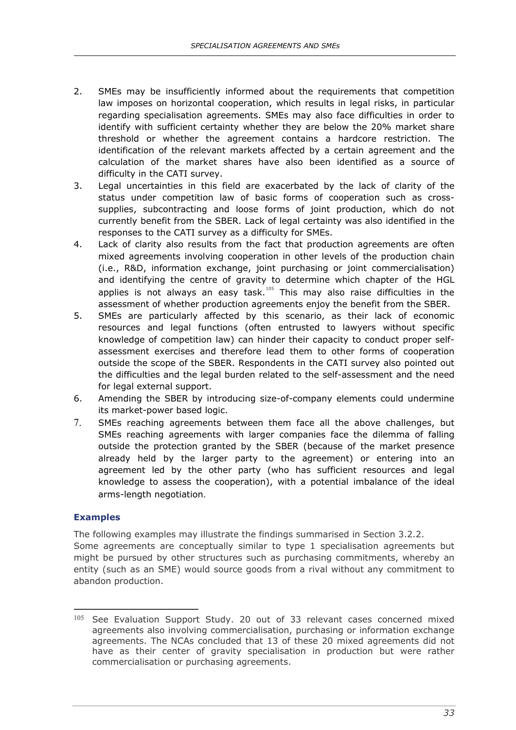- 2. SMEs may be insufficiently informed about the requirements that competition law imposes on horizontal cooperation, which results in legal risks, in particular regarding specialisation agreements. SMEs may also face difficulties in order to identify with sufficient certainty whether they are below the 20% market share threshold or whether the agreement contains a hardcore restriction. The identification of the relevant markets affected by a certain agreement and the calculation of the market shares have also been identified as a source of difficulty in the CATI survey.
- 3. Legal uncertainties in this field are exacerbated by the lack of clarity of the status under competition law of basic forms of cooperation such as crosssupplies, subcontracting and loose forms of joint production, which do not currently benefit from the SBER. Lack of legal certainty was also identified in the responses to the CATI survey as a difficulty for SMEs.
- 4. Lack of clarity also results from the fact that production agreements are often mixed agreements involving cooperation in other levels of the production chain (i.e., R&D, information exchange, joint purchasing or joint commercialisation) and identifying the centre of gravity to determine which chapter of the HGL applies is not always an easy task.<sup>[105](#page-37-1)</sup> This may also raise difficulties in the assessment of whether production agreements enjoy the benefit from the SBER.
- 5. SMEs are particularly affected by this scenario, as their lack of economic resources and legal functions (often entrusted to lawyers without specific knowledge of competition law) can hinder their capacity to conduct proper selfassessment exercises and therefore lead them to other forms of cooperation outside the scope of the SBER. Respondents in the CATI survey also pointed out the difficulties and the legal burden related to the self-assessment and the need for legal external support.
- 6. Amending the SBER by introducing size-of-company elements could undermine its market-power based logic.
- 7. SMEs reaching agreements between them face all the above challenges, but SMEs reaching agreements with larger companies face the dilemma of falling outside the protection granted by the SBER (because of the market presence already held by the larger party to the agreement) or entering into an agreement led by the other party (who has sufficient resources and legal knowledge to assess the cooperation), with a potential imbalance of the ideal arms-length negotiation.

#### <span id="page-37-0"></span>**Examples**

 $\overline{a}$ 

The following examples may illustrate the findings summarised in Section 3.2.2. Some agreements are conceptually similar to type 1 specialisation agreements but might be pursued by other structures such as purchasing commitments, whereby an entity (such as an SME) would source goods from a rival without any commitment to abandon production.

<span id="page-37-1"></span><sup>&</sup>lt;sup>105</sup> See Evaluation Support Study. 20 out of 33 relevant cases concerned mixed agreements also involving commercialisation, purchasing or information exchange agreements. The NCAs concluded that 13 of these 20 mixed agreements did not have as their center of gravity specialisation in production but were rather commercialisation or purchasing agreements.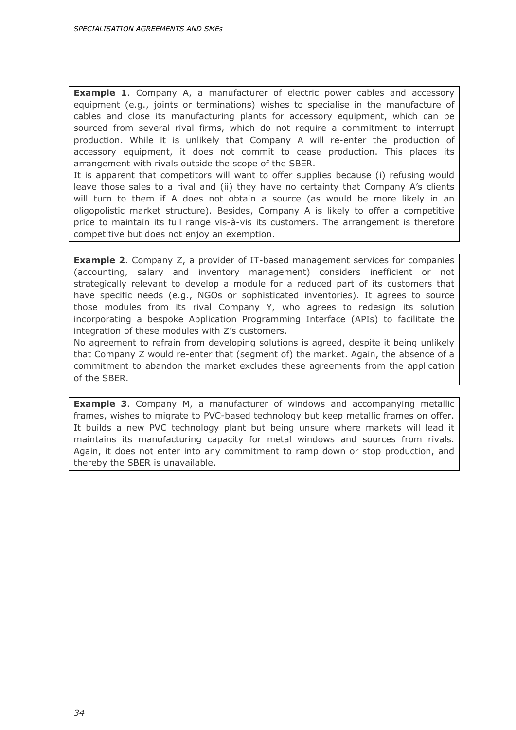**Example 1**. Company A, a manufacturer of electric power cables and accessory equipment (e.g., joints or terminations) wishes to specialise in the manufacture of cables and close its manufacturing plants for accessory equipment, which can be sourced from several rival firms, which do not require a commitment to interrupt production. While it is unlikely that Company A will re-enter the production of accessory equipment, it does not commit to cease production. This places its arrangement with rivals outside the scope of the SBER.

It is apparent that competitors will want to offer supplies because (i) refusing would leave those sales to a rival and (ii) they have no certainty that Company A's clients will turn to them if A does not obtain a source (as would be more likely in an oligopolistic market structure). Besides, Company A is likely to offer a competitive price to maintain its full range vis-à-vis its customers. The arrangement is therefore competitive but does not enjoy an exemption.

**Example 2.** Company Z, a provider of IT-based management services for companies (accounting, salary and inventory management) considers inefficient or not strategically relevant to develop a module for a reduced part of its customers that have specific needs (e.g., NGOs or sophisticated inventories). It agrees to source those modules from its rival Company Y, who agrees to redesign its solution incorporating a bespoke Application Programming Interface (APIs) to facilitate the integration of these modules with Z's customers.

No agreement to refrain from developing solutions is agreed, despite it being unlikely that Company Z would re-enter that (segment of) the market. Again, the absence of a commitment to abandon the market excludes these agreements from the application of the SBER.

**Example 3**. Company M, a manufacturer of windows and accompanying metallic frames, wishes to migrate to PVC-based technology but keep metallic frames on offer. It builds a new PVC technology plant but being unsure where markets will lead it maintains its manufacturing capacity for metal windows and sources from rivals. Again, it does not enter into any commitment to ramp down or stop production, and thereby the SBER is unavailable.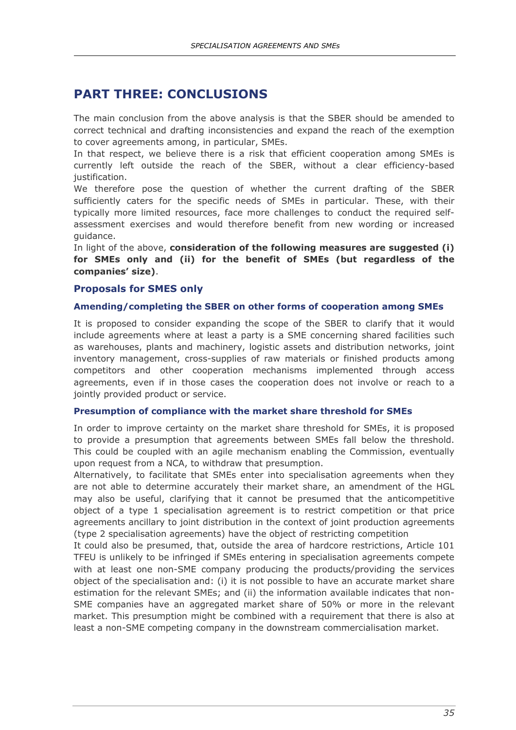# <span id="page-39-0"></span>**PART THREE: CONCLUSIONS**

The main conclusion from the above analysis is that the SBER should be amended to correct technical and drafting inconsistencies and expand the reach of the exemption to cover agreements among, in particular, SMEs.

In that respect, we believe there is a risk that efficient cooperation among SMEs is currently left outside the reach of the SBER, without a clear efficiency-based justification.

We therefore pose the question of whether the current drafting of the SBER sufficiently caters for the specific needs of SMEs in particular. These, with their typically more limited resources, face more challenges to conduct the required selfassessment exercises and would therefore benefit from new wording or increased guidance.

In light of the above, **consideration of the following measures are suggested (i) for SMEs only and (ii) for the benefit of SMEs (but regardless of the companies' size)**.

#### <span id="page-39-1"></span>**Proposals for SMES only**

#### <span id="page-39-2"></span>**Amending/completing the SBER on other forms of cooperation among SMEs**

It is proposed to consider expanding the scope of the SBER to clarify that it would include agreements where at least a party is a SME concerning shared facilities such as warehouses, plants and machinery, logistic assets and distribution networks, joint inventory management, cross-supplies of raw materials or finished products among competitors and other cooperation mechanisms implemented through access agreements, even if in those cases the cooperation does not involve or reach to a jointly provided product or service.

#### <span id="page-39-3"></span>**Presumption of compliance with the market share threshold for SMEs**

In order to improve certainty on the market share threshold for SMEs, it is proposed to provide a presumption that agreements between SMEs fall below the threshold. This could be coupled with an agile mechanism enabling the Commission, eventually upon request from a NCA, to withdraw that presumption.

Alternatively, to facilitate that SMEs enter into specialisation agreements when they are not able to determine accurately their market share, an amendment of the HGL may also be useful, clarifying that it cannot be presumed that the anticompetitive object of a type 1 specialisation agreement is to restrict competition or that price agreements ancillary to joint distribution in the context of joint production agreements (type 2 specialisation agreements) have the object of restricting competition

It could also be presumed, that, outside the area of hardcore restrictions, Article 101 TFEU is unlikely to be infringed if SMEs entering in specialisation agreements compete with at least one non-SME company producing the products/providing the services object of the specialisation and: (i) it is not possible to have an accurate market share estimation for the relevant SMEs; and (ii) the information available indicates that non-SME companies have an aggregated market share of 50% or more in the relevant market. This presumption might be combined with a requirement that there is also at least a non-SME competing company in the downstream commercialisation market.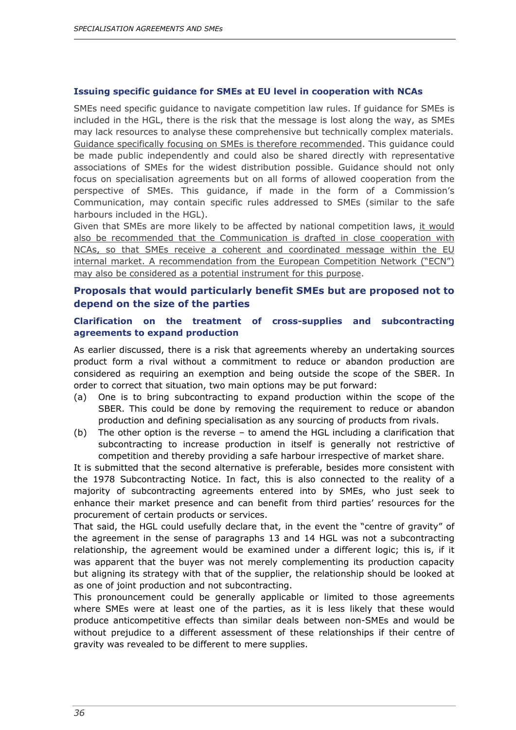#### <span id="page-40-0"></span>**Issuing specific guidance for SMEs at EU level in cooperation with NCAs**

SMEs need specific guidance to navigate competition law rules. If guidance for SMEs is included in the HGL, there is the risk that the message is lost along the way, as SMEs may lack resources to analyse these comprehensive but technically complex materials. Guidance specifically focusing on SMEs is therefore recommended. This guidance could be made public independently and could also be shared directly with representative associations of SMEs for the widest distribution possible. Guidance should not only focus on specialisation agreements but on all forms of allowed cooperation from the perspective of SMEs. This guidance, if made in the form of a Commission's Communication, may contain specific rules addressed to SMEs (similar to the safe harbours included in the HGL).

Given that SMEs are more likely to be affected by national competition laws, it would also be recommended that the Communication is drafted in close cooperation with NCAs, so that SMEs receive a coherent and coordinated message within the EU internal market. A recommendation from the European Competition Network ("ECN") may also be considered as a potential instrument for this purpose.

#### <span id="page-40-1"></span>**Proposals that would particularly benefit SMEs but are proposed not to depend on the size of the parties**

#### <span id="page-40-2"></span>**Clarification on the treatment of cross-supplies and subcontracting agreements to expand production**

As earlier discussed, there is a risk that agreements whereby an undertaking sources product form a rival without a commitment to reduce or abandon production are considered as requiring an exemption and being outside the scope of the SBER. In order to correct that situation, two main options may be put forward:

- (a) One is to bring subcontracting to expand production within the scope of the SBER. This could be done by removing the requirement to reduce or abandon production and defining specialisation as any sourcing of products from rivals.
- (b) The other option is the reverse to amend the HGL including a clarification that subcontracting to increase production in itself is generally not restrictive of competition and thereby providing a safe harbour irrespective of market share.

It is submitted that the second alternative is preferable, besides more consistent with the 1978 Subcontracting Notice. In fact, this is also connected to the reality of a majority of subcontracting agreements entered into by SMEs, who just seek to enhance their market presence and can benefit from third parties' resources for the procurement of certain products or services.

That said, the HGL could usefully declare that, in the event the "centre of gravity" of the agreement in the sense of paragraphs 13 and 14 HGL was not a subcontracting relationship, the agreement would be examined under a different logic; this is, if it was apparent that the buyer was not merely complementing its production capacity but aligning its strategy with that of the supplier, the relationship should be looked at as one of joint production and not subcontracting.

This pronouncement could be generally applicable or limited to those agreements where SMEs were at least one of the parties, as it is less likely that these would produce anticompetitive effects than similar deals between non-SMEs and would be without prejudice to a different assessment of these relationships if their centre of gravity was revealed to be different to mere supplies.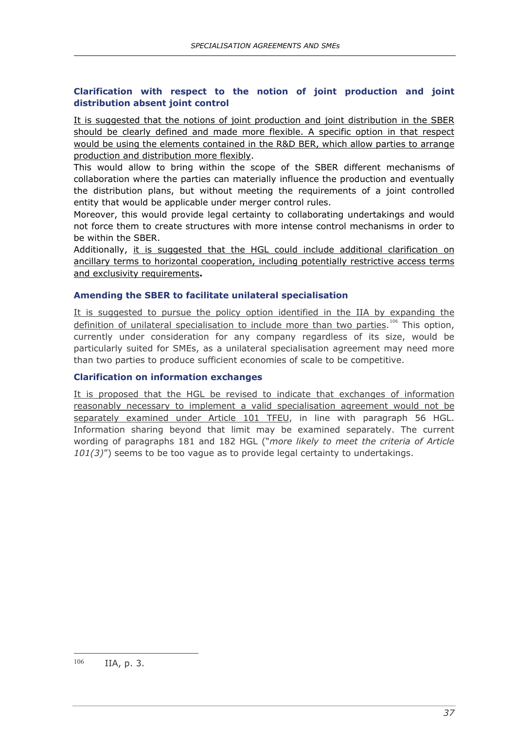#### <span id="page-41-0"></span>**Clarification with respect to the notion of joint production and joint distribution absent joint control**

It is suggested that the notions of joint production and joint distribution in the SBER should be clearly defined and made more flexible. A specific option in that respect would be using the elements contained in the R&D BER, which allow parties to arrange production and distribution more flexibly.

This would allow to bring within the scope of the SBER different mechanisms of collaboration where the parties can materially influence the production and eventually the distribution plans, but without meeting the requirements of a joint controlled entity that would be applicable under merger control rules.

Moreover, this would provide legal certainty to collaborating undertakings and would not force them to create structures with more intense control mechanisms in order to be within the SBER.

Additionally, it is suggested that the HGL could include additional clarification on ancillary terms to horizontal cooperation, including potentially restrictive access terms and exclusivity requirements**.**

#### <span id="page-41-1"></span>**Amending the SBER to facilitate unilateral specialisation**

It is suggested to pursue the policy option identified in the IIA by expanding the definition of unilateral specialisation to include more than two parties.<sup>[106](#page-41-3)</sup> This option, currently under consideration for any company regardless of its size, would be particularly suited for SMEs, as a unilateral specialisation agreement may need more than two parties to produce sufficient economies of scale to be competitive.

#### <span id="page-41-2"></span>**Clarification on information exchanges**

<span id="page-41-3"></span>It is proposed that the HGL be revised to indicate that exchanges of information reasonably necessary to implement a valid specialisation agreement would not be separately examined under Article 101 TFEU, in line with paragraph 56 HGL. Information sharing beyond that limit may be examined separately. The current wording of paragraphs 181 and 182 HGL ("*more likely to meet the criteria of Article 101(3)*") seems to be too vague as to provide legal certainty to undertakings.